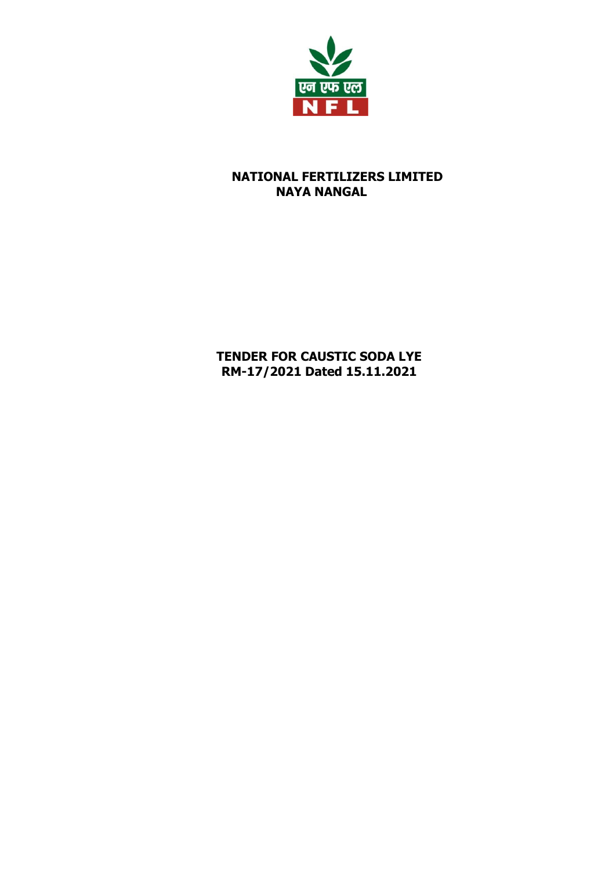

## **NATIONAL FERTILIZERS LIMITED NAYA NANGAL**

# **TENDER FOR CAUSTIC SODA LYE RM-17/2021 Dated 15.11.2021**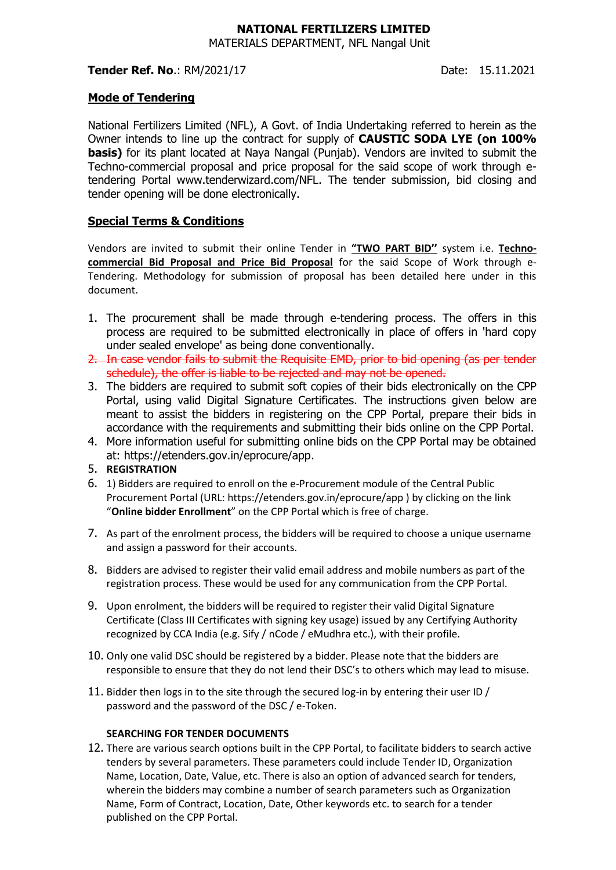#### **NATIONAL FERTILIZERS LIMITED** MATERIALS DEPARTMENT, NFL Nangal Unit

#### **Tender Ref. No.: RM/2021/17 Date: 15.11.2021**

#### **Mode of Tendering**

National Fertilizers Limited (NFL), A Govt. of India Undertaking referred to herein as the Owner intends to line up the contract for supply of **CAUSTIC SODA LYE (on 100% basis)** for its plant located at Naya Nangal (Punjab). Vendors are invited to submit the Techno-commercial proposal and price proposal for the said scope of work through etendering Portal www.tenderwizard.com/NFL. The tender submission, bid closing and tender opening will be done electronically.

## **Special Terms & Conditions**

Vendors are invited to submit their online Tender in **"TWO PART BID''** system i.e. **Technocommercial Bid Proposal and Price Bid Proposal** for the said Scope of Work through e-Tendering. Methodology for submission of proposal has been detailed here under in this document.

- 1. The procurement shall be made through e-tendering process. The offers in this process are required to be submitted electronically in place of offers in 'hard copy under sealed envelope' as being done conventionally.
- 2. In case vendor fails to submit the Requisite EMD, prior to bid opening (as per tender schedule), the offer is liable to be rejected and may not be opened.
- 3. The bidders are required to submit soft copies of their bids electronically on the CPP Portal, using valid Digital Signature Certificates. The instructions given below are meant to assist the bidders in registering on the CPP Portal, prepare their bids in accordance with the requirements and submitting their bids online on the CPP Portal.
- 4. More information useful for submitting online bids on the CPP Portal may be obtained at: https://etenders.gov.in/eprocure/app.
- 5. **REGISTRATION**
- 6. 1) Bidders are required to enroll on the e-Procurement module of the Central Public Procurement Portal (URL: https://etenders.gov.in/eprocure/app ) by clicking on the link "**Online bidder Enrollment**" on the CPP Portal which is free of charge.
- 7. As part of the enrolment process, the bidders will be required to choose a unique username and assign a password for their accounts.
- 8. Bidders are advised to register their valid email address and mobile numbers as part of the registration process. These would be used for any communication from the CPP Portal.
- 9. Upon enrolment, the bidders will be required to register their valid Digital Signature Certificate (Class III Certificates with signing key usage) issued by any Certifying Authority recognized by CCA India (e.g. Sify / nCode / eMudhra etc.), with their profile.
- 10. Only one valid DSC should be registered by a bidder. Please note that the bidders are responsible to ensure that they do not lend their DSC's to others which may lead to misuse.
- 11. Bidder then logs in to the site through the secured log-in by entering their user ID / password and the password of the DSC / e-Token.

#### **SEARCHING FOR TENDER DOCUMENTS**

12. There are various search options built in the CPP Portal, to facilitate bidders to search active tenders by several parameters. These parameters could include Tender ID, Organization Name, Location, Date, Value, etc. There is also an option of advanced search for tenders, wherein the bidders may combine a number of search parameters such as Organization Name, Form of Contract, Location, Date, Other keywords etc. to search for a tender published on the CPP Portal.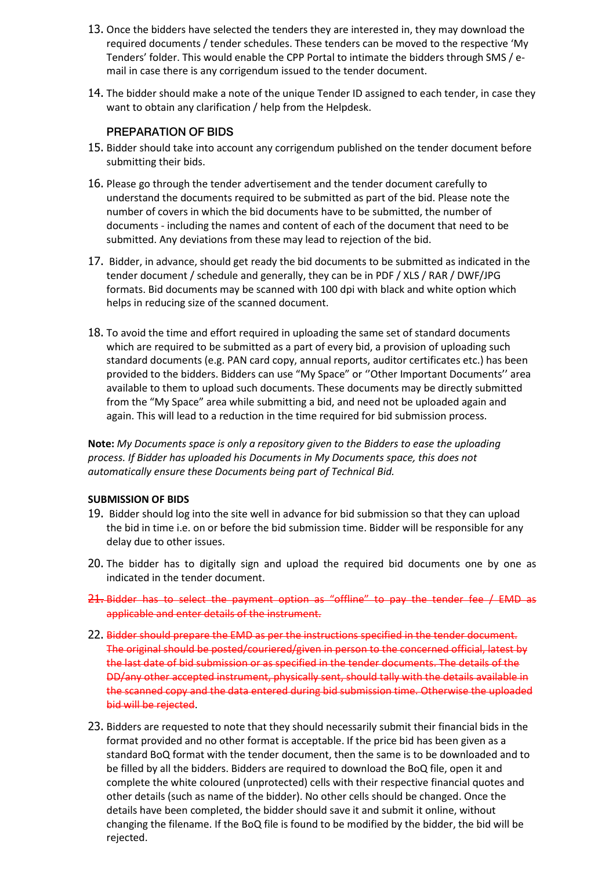- 13. Once the bidders have selected the tenders they are interested in, they may download the required documents / tender schedules. These tenders can be moved to the respective 'My Tenders' folder. This would enable the CPP Portal to intimate the bidders through SMS / email in case there is any corrigendum issued to the tender document.
- 14. The bidder should make a note of the unique Tender ID assigned to each tender, in case they want to obtain any clarification / help from the Helpdesk.

#### **PREPARATION OF BIDS**

- 15. Bidder should take into account any corrigendum published on the tender document before submitting their bids.
- 16. Please go through the tender advertisement and the tender document carefully to understand the documents required to be submitted as part of the bid. Please note the number of covers in which the bid documents have to be submitted, the number of documents - including the names and content of each of the document that need to be submitted. Any deviations from these may lead to rejection of the bid.
- 17. Bidder, in advance, should get ready the bid documents to be submitted as indicated in the tender document / schedule and generally, they can be in PDF / XLS / RAR / DWF/JPG formats. Bid documents may be scanned with 100 dpi with black and white option which helps in reducing size of the scanned document.
- 18. To avoid the time and effort required in uploading the same set of standard documents which are required to be submitted as a part of every bid, a provision of uploading such standard documents (e.g. PAN card copy, annual reports, auditor certificates etc.) has been provided to the bidders. Bidders can use "My Space" or ''Other Important Documents'' area available to them to upload such documents. These documents may be directly submitted from the "My Space" area while submitting a bid, and need not be uploaded again and again. This will lead to a reduction in the time required for bid submission process.

**Note:** *My Documents space is only a repository given to the Bidders to ease the uploading process. If Bidder has uploaded his Documents in My Documents space, this does not automatically ensure these Documents being part of Technical Bid.*

#### **SUBMISSION OF BIDS**

- 19. Bidder should log into the site well in advance for bid submission so that they can upload the bid in time i.e. on or before the bid submission time. Bidder will be responsible for any delay due to other issues.
- 20. The bidder has to digitally sign and upload the required bid documents one by one as indicated in the tender document.
- 21. Bidder has to select the payment option as "offline" to pay the tender fee / EMD as applicable and enter details of the instrument.
- 22. Bidder should prepare the EMD as per the instructions specified in the tender document. The original should be posted/couriered/given in person to the concerned official, latest by the last date of bid submission or as specified in the tender documents. The details of the DD/any other accepted instrument, physically sent, should tally with the details available in the scanned copy and the data entered during bid submission time. Otherwise the uploaded bid will be rejected.
- 23. Bidders are requested to note that they should necessarily submit their financial bids in the format provided and no other format is acceptable. If the price bid has been given as a standard BoQ format with the tender document, then the same is to be downloaded and to be filled by all the bidders. Bidders are required to download the BoQ file, open it and complete the white coloured (unprotected) cells with their respective financial quotes and other details (such as name of the bidder). No other cells should be changed. Once the details have been completed, the bidder should save it and submit it online, without changing the filename. If the BoQ file is found to be modified by the bidder, the bid will be rejected.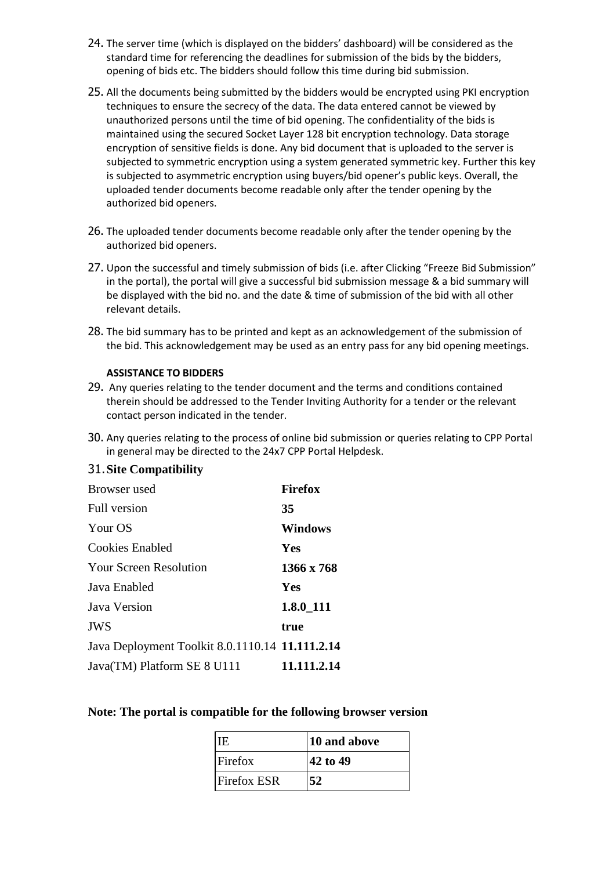- 24. The server time (which is displayed on the bidders' dashboard) will be considered as the standard time for referencing the deadlines for submission of the bids by the bidders, opening of bids etc. The bidders should follow this time during bid submission.
- 25. All the documents being submitted by the bidders would be encrypted using PKI encryption techniques to ensure the secrecy of the data. The data entered cannot be viewed by unauthorized persons until the time of bid opening. The confidentiality of the bids is maintained using the secured Socket Layer 128 bit encryption technology. Data storage encryption of sensitive fields is done. Any bid document that is uploaded to the server is subjected to symmetric encryption using a system generated symmetric key. Further this key is subjected to asymmetric encryption using buyers/bid opener's public keys. Overall, the uploaded tender documents become readable only after the tender opening by the authorized bid openers.
- 26. The uploaded tender documents become readable only after the tender opening by the authorized bid openers.
- 27. Upon the successful and timely submission of bids (i.e. after Clicking "Freeze Bid Submission" in the portal), the portal will give a successful bid submission message & a bid summary will be displayed with the bid no. and the date & time of submission of the bid with all other relevant details.
- 28. The bid summary has to be printed and kept as an acknowledgement of the submission of the bid. This acknowledgement may be used as an entry pass for any bid opening meetings.

#### **ASSISTANCE TO BIDDERS**

- 29. Any queries relating to the tender document and the terms and conditions contained therein should be addressed to the Tender Inviting Authority for a tender or the relevant contact person indicated in the tender.
- 30. Any queries relating to the process of online bid submission or queries relating to CPP Portal in general may be directed to the 24x7 CPP Portal Helpdesk.

#### 31.**Site Compatibility**

| Browser used                                    | <b>Firefox</b> |
|-------------------------------------------------|----------------|
| <b>Full version</b>                             | 35             |
| Your OS                                         | <b>Windows</b> |
| Cookies Enabled                                 | <b>Yes</b>     |
| <b>Your Screen Resolution</b>                   | 1366 x 768     |
| Java Enabled                                    | <b>Yes</b>     |
| Java Version                                    | $1.8.0\_111$   |
| <b>JWS</b>                                      | true           |
| Java Deployment Toolkit 8.0.1110.14 11.111.2.14 |                |
| Java(TM) Platform SE 8 U111                     | 11.111.2.14    |

#### **Note: The portal is compatible for the following browser version**

| HE                 | 10 and above |
|--------------------|--------------|
| Firefox            | 42 to 49     |
| <b>Firefox ESR</b> | 52           |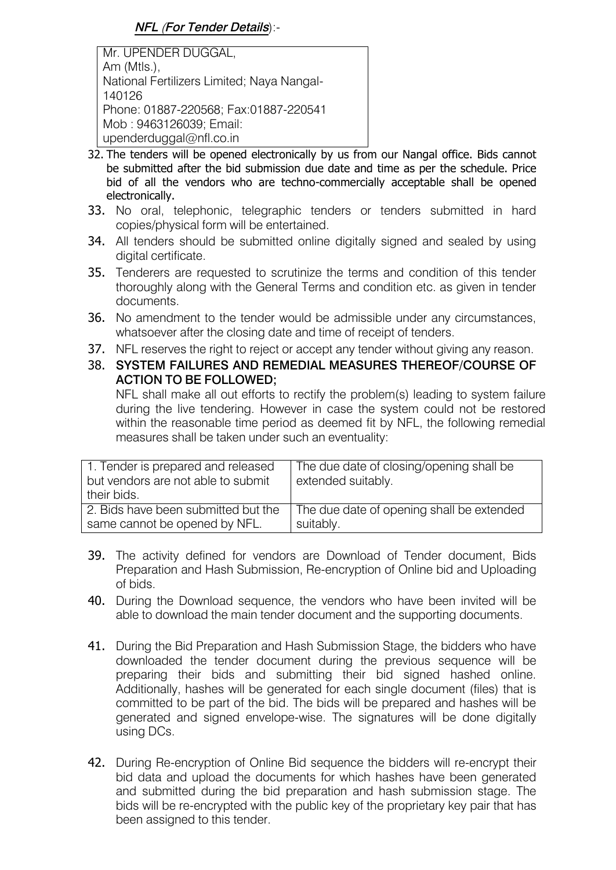Mr. UPENDER DUGGAL, Am (Mtls.), National Fertilizers Limited; Naya Nangal-140126 Phone: 01887-220568; Fax:01887-220541 Mob : 9463126039; Email: upenderduggal@nfl.co.in

- 32. The tenders will be opened electronically by us from our Nangal office. Bids cannot be submitted after the bid submission due date and time as per the schedule. Price bid of all the vendors who are techno-commercially acceptable shall be opened electronically.
- 33. No oral, telephonic, telegraphic tenders or tenders submitted in hard copies/physical form will be entertained.
- 34. All tenders should be submitted online digitally signed and sealed by using digital certificate.
- 35. Tenderers are requested to scrutinize the terms and condition of this tender thoroughly along with the General Terms and condition etc. as given in tender documents.
- 36. No amendment to the tender would be admissible under any circumstances, whatsoever after the closing date and time of receipt of tenders.
- 37. NFL reserves the right to reject or accept any tender without giving any reason.
- 38. **SYSTEM FAILURES AND REMEDIAL MEASURES THEREOF/COURSE OF ACTION TO BE FOLLOWED;**

NFL shall make all out efforts to rectify the problem(s) leading to system failure during the live tendering. However in case the system could not be restored within the reasonable time period as deemed fit by NFL, the following remedial measures shall be taken under such an eventuality:

| 1. Tender is prepared and released<br>but vendors are not able to submit<br>their bids. | The due date of closing/opening shall be<br>extended suitably. |
|-----------------------------------------------------------------------------------------|----------------------------------------------------------------|
| 2. Bids have been submitted but the                                                     | The due date of opening shall be extended                      |
| same cannot be opened by NFL.                                                           | suitably.                                                      |

- 39. The activity defined for vendors are Download of Tender document, Bids Preparation and Hash Submission, Re-encryption of Online bid and Uploading of bids.
- 40. During the Download sequence, the vendors who have been invited will be able to download the main tender document and the supporting documents.
- 41. During the Bid Preparation and Hash Submission Stage, the bidders who have downloaded the tender document during the previous sequence will be preparing their bids and submitting their bid signed hashed online. Additionally, hashes will be generated for each single document (files) that is committed to be part of the bid. The bids will be prepared and hashes will be generated and signed envelope-wise. The signatures will be done digitally using DCs.
- 42. During Re-encryption of Online Bid sequence the bidders will re-encrypt their bid data and upload the documents for which hashes have been generated and submitted during the bid preparation and hash submission stage. The bids will be re-encrypted with the public key of the proprietary key pair that has been assigned to this tender.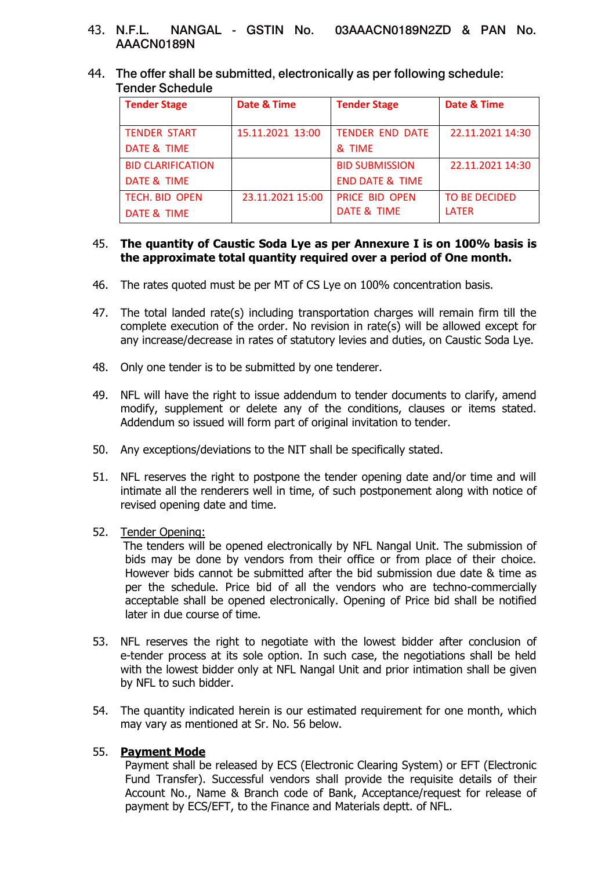- 43. **N.F.L. NANGAL - GSTIN No. 03AAACN0189N2ZD & PAN No. AAACN0189N**
- 44. **The offer shall be submitted, electronically as per following schedule: Tender Schedule**

| Date & Time      | <b>Tender Stage</b>        | Date & Time      |
|------------------|----------------------------|------------------|
| 15.11.2021 13:00 | <b>TENDER END DATE</b>     | 22.11.2021 14:30 |
|                  | & TIME                     |                  |
|                  | <b>BID SUBMISSION</b>      | 22.11.2021 14:30 |
|                  | <b>END DATE &amp; TIME</b> |                  |
| 23.11.2021 15:00 | <b>PRICE BID OPEN</b>      | TO BE DECIDED    |
|                  | DATE & TIME                | <b>LATER</b>     |
|                  |                            |                  |

#### 45. **The quantity of Caustic Soda Lye as per Annexure I is on 100% basis is the approximate total quantity required over a period of One month.**

- 46. The rates quoted must be per MT of CS Lye on 100% concentration basis.
- 47. The total landed rate(s) including transportation charges will remain firm till the complete execution of the order. No revision in rate(s) will be allowed except for any increase/decrease in rates of statutory levies and duties, on Caustic Soda Lye.
- 48. Only one tender is to be submitted by one tenderer.
- 49. NFL will have the right to issue addendum to tender documents to clarify, amend modify, supplement or delete any of the conditions, clauses or items stated. Addendum so issued will form part of original invitation to tender.
- 50. Any exceptions/deviations to the NIT shall be specifically stated.
- 51. NFL reserves the right to postpone the tender opening date and/or time and will intimate all the renderers well in time, of such postponement along with notice of revised opening date and time.
- 52. Tender Opening:

 The tenders will be opened electronically by NFL Nangal Unit. The submission of bids may be done by vendors from their office or from place of their choice. However bids cannot be submitted after the bid submission due date & time as per the schedule. Price bid of all the vendors who are techno-commercially acceptable shall be opened electronically. Opening of Price bid shall be notified later in due course of time.

- 53. NFL reserves the right to negotiate with the lowest bidder after conclusion of e-tender process at its sole option. In such case, the negotiations shall be held with the lowest bidder only at NFL Nangal Unit and prior intimation shall be given by NFL to such bidder.
- 54. The quantity indicated herein is our estimated requirement for one month, which may vary as mentioned at Sr. No. 56 below.

## 55. **Payment Mode**

Payment shall be released by ECS (Electronic Clearing System) or EFT (Electronic Fund Transfer). Successful vendors shall provide the requisite details of their Account No., Name & Branch code of Bank, Acceptance/request for release of payment by ECS/EFT, to the Finance and Materials deptt. of NFL.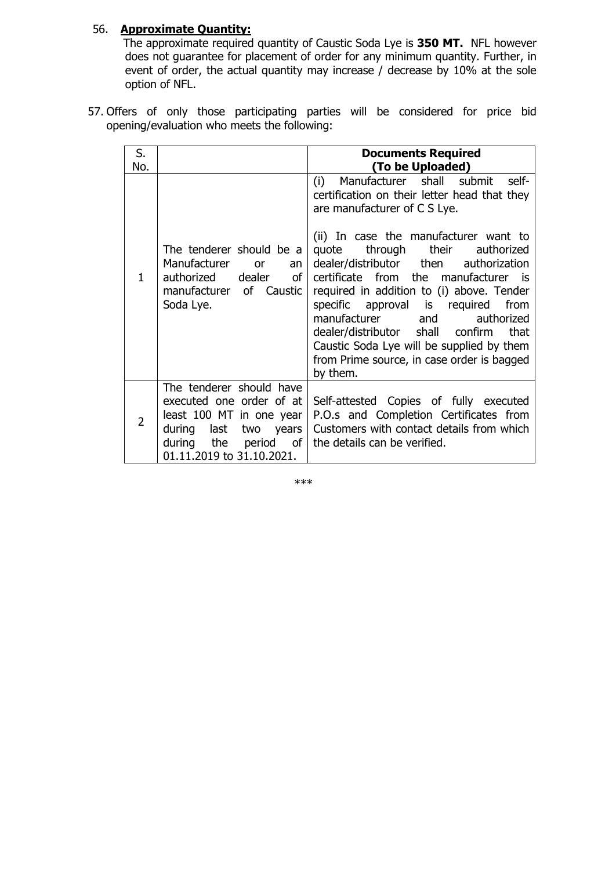## 56. **Approximate Quantity:**

 The approximate required quantity of Caustic Soda Lye is **350 MT.** NFL however does not guarantee for placement of order for any minimum quantity. Further, in event of order, the actual quantity may increase / decrease by 10% at the sole option of NFL.

57. Offers of only those participating parties will be considered for price bid opening/evaluation who meets the following:

| S.<br>No.      |                                                                                                                                                                            | <b>Documents Required</b><br>(To be Uploaded)                                                                                                                                                                                                                                                                                                                                                                                                                                                                                                                                         |
|----------------|----------------------------------------------------------------------------------------------------------------------------------------------------------------------------|---------------------------------------------------------------------------------------------------------------------------------------------------------------------------------------------------------------------------------------------------------------------------------------------------------------------------------------------------------------------------------------------------------------------------------------------------------------------------------------------------------------------------------------------------------------------------------------|
| 1.             | The tenderer should be a<br>Manufacturer<br><b>or</b><br>an<br>dealer<br>of<br>authorized<br>manufacturer of Caustic<br>Soda Lye.                                          | Manufacturer shall submit<br>self-<br>(i)<br>certification on their letter head that they<br>are manufacturer of C S Lye.<br>(ii) In case the manufacturer want to<br>through<br>their<br>authorized<br>quote<br>dealer/distributor then<br>authorization<br>certificate from the manufacturer<br>is is<br>required in addition to (i) above. Tender<br>specific approval is required<br>from<br>manufacturer<br>authorized<br>and<br>dealer/distributor shall confirm<br>that<br>Caustic Soda Lye will be supplied by them<br>from Prime source, in case order is bagged<br>by them. |
| $\overline{2}$ | The tenderer should have<br>executed one order of at<br>least 100 MT in one year<br>during last<br>two years<br>the<br>during<br>period<br>οf<br>01.11.2019 to 31.10.2021. | Self-attested Copies of fully executed<br>P.O.s and Completion Certificates from<br>Customers with contact details from which<br>the details can be verified.                                                                                                                                                                                                                                                                                                                                                                                                                         |

\*\*\*\*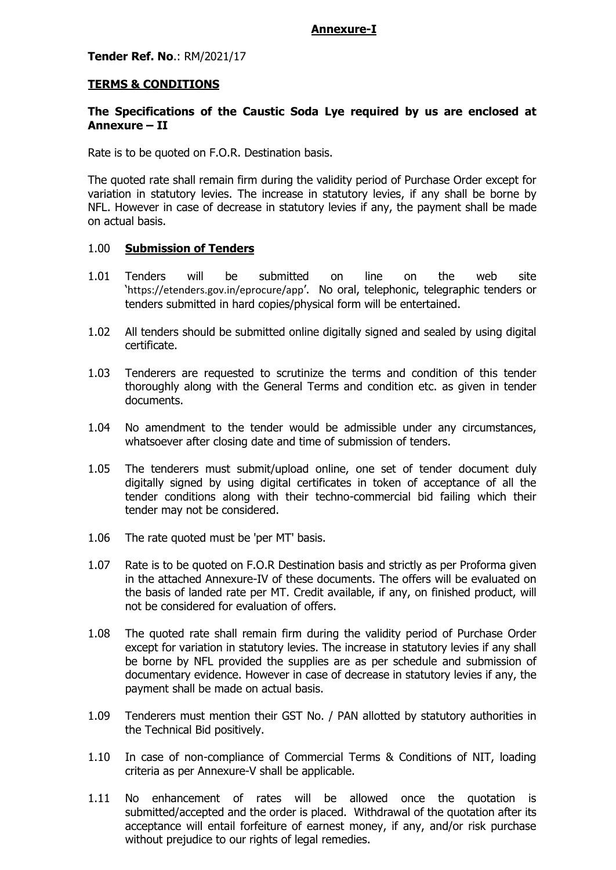#### **Annexure-I**

## **Tender Ref. No**.: RM/2021/17

#### **TERMS & CONDITIONS**

## **The Specifications of the Caustic Soda Lye required by us are enclosed at Annexure – II**

Rate is to be quoted on F.O.R. Destination basis.

The quoted rate shall remain firm during the validity period of Purchase Order except for variation in statutory levies. The increase in statutory levies, if any shall be borne by NFL. However in case of decrease in statutory levies if any, the payment shall be made on actual basis.

#### 1.00 **Submission of Tenders**

- 1.01 Tenders will be submitted on line on the web site 'https://etenders.gov.in/eprocure/app'. No oral, telephonic, telegraphic tenders or tenders submitted in hard copies/physical form will be entertained.
- 1.02 All tenders should be submitted online digitally signed and sealed by using digital certificate.
- 1.03 Tenderers are requested to scrutinize the terms and condition of this tender thoroughly along with the General Terms and condition etc. as given in tender documents.
- 1.04 No amendment to the tender would be admissible under any circumstances, whatsoever after closing date and time of submission of tenders.
- 1.05 The tenderers must submit/upload online, one set of tender document duly digitally signed by using digital certificates in token of acceptance of all the tender conditions along with their techno-commercial bid failing which their tender may not be considered.
- 1.06 The rate quoted must be 'per MT' basis.
- 1.07 Rate is to be quoted on F.O.R Destination basis and strictly as per Proforma given in the attached Annexure-IV of these documents. The offers will be evaluated on the basis of landed rate per MT. Credit available, if any, on finished product, will not be considered for evaluation of offers.
- 1.08 The quoted rate shall remain firm during the validity period of Purchase Order except for variation in statutory levies. The increase in statutory levies if any shall be borne by NFL provided the supplies are as per schedule and submission of documentary evidence. However in case of decrease in statutory levies if any, the payment shall be made on actual basis.
- 1.09 Tenderers must mention their GST No. / PAN allotted by statutory authorities in the Technical Bid positively.
- 1.10 In case of non-compliance of Commercial Terms & Conditions of NIT, loading criteria as per Annexure-V shall be applicable.
- 1.11 No enhancement of rates will be allowed once the quotation is submitted/accepted and the order is placed. Withdrawal of the quotation after its acceptance will entail forfeiture of earnest money, if any, and/or risk purchase without prejudice to our rights of legal remedies.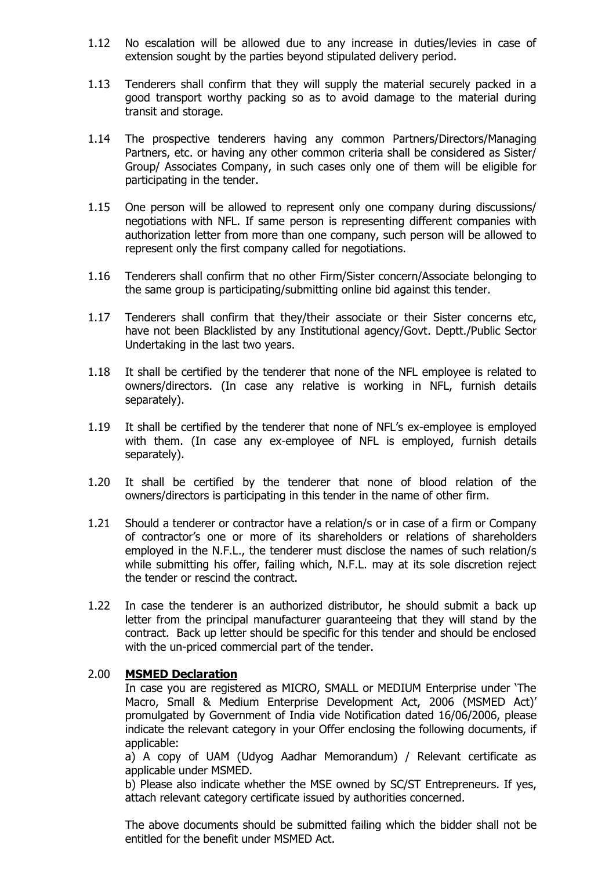- 1.12 No escalation will be allowed due to any increase in duties/levies in case of extension sought by the parties beyond stipulated delivery period.
- 1.13 Tenderers shall confirm that they will supply the material securely packed in a good transport worthy packing so as to avoid damage to the material during transit and storage.
- 1.14 The prospective tenderers having any common Partners/Directors/Managing Partners, etc. or having any other common criteria shall be considered as Sister/ Group/ Associates Company, in such cases only one of them will be eligible for participating in the tender.
- 1.15 One person will be allowed to represent only one company during discussions/ negotiations with NFL. If same person is representing different companies with authorization letter from more than one company, such person will be allowed to represent only the first company called for negotiations.
- 1.16 Tenderers shall confirm that no other Firm/Sister concern/Associate belonging to the same group is participating/submitting online bid against this tender.
- 1.17 Tenderers shall confirm that they/their associate or their Sister concerns etc, have not been Blacklisted by any Institutional agency/Govt. Deptt./Public Sector Undertaking in the last two years.
- 1.18 It shall be certified by the tenderer that none of the NFL employee is related to owners/directors. (In case any relative is working in NFL, furnish details separately).
- 1.19 It shall be certified by the tenderer that none of NFL's ex-employee is employed with them. (In case any ex-employee of NFL is employed, furnish details separately).
- 1.20 It shall be certified by the tenderer that none of blood relation of the owners/directors is participating in this tender in the name of other firm.
- 1.21 Should a tenderer or contractor have a relation/s or in case of a firm or Company of contractor's one or more of its shareholders or relations of shareholders employed in the N.F.L., the tenderer must disclose the names of such relation/s while submitting his offer, failing which, N.F.L. may at its sole discretion reject the tender or rescind the contract.
- 1.22 In case the tenderer is an authorized distributor, he should submit a back up letter from the principal manufacturer guaranteeing that they will stand by the contract. Back up letter should be specific for this tender and should be enclosed with the un-priced commercial part of the tender.

#### 2.00 **MSMED Declaration**

In case you are registered as MICRO, SMALL or MEDIUM Enterprise under 'The Macro, Small & Medium Enterprise Development Act, 2006 (MSMED Act)' promulgated by Government of India vide Notification dated 16/06/2006, please indicate the relevant category in your Offer enclosing the following documents, if applicable:

a) A copy of UAM (Udyog Aadhar Memorandum) / Relevant certificate as applicable under MSMED.

b) Please also indicate whether the MSE owned by SC/ST Entrepreneurs. If yes, attach relevant category certificate issued by authorities concerned.

The above documents should be submitted failing which the bidder shall not be entitled for the benefit under MSMED Act.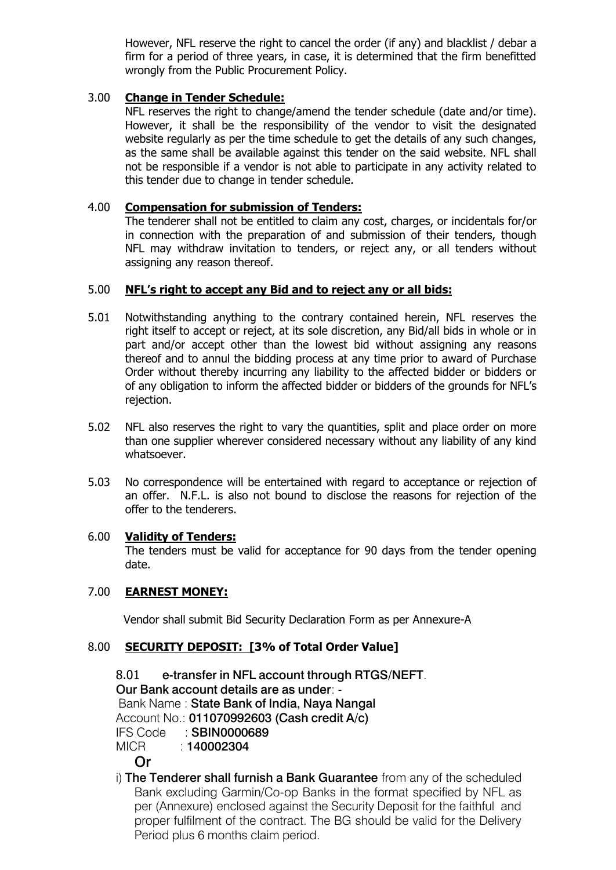However, NFL reserve the right to cancel the order (if any) and blacklist / debar a firm for a period of three years, in case, it is determined that the firm benefitted wrongly from the Public Procurement Policy.

#### 3.00 **Change in Tender Schedule:**

NFL reserves the right to change/amend the tender schedule (date and/or time). However, it shall be the responsibility of the vendor to visit the designated website regularly as per the time schedule to get the details of any such changes, as the same shall be available against this tender on the said website. NFL shall not be responsible if a vendor is not able to participate in any activity related to this tender due to change in tender schedule.

#### 4.00 **Compensation for submission of Tenders:**

The tenderer shall not be entitled to claim any cost, charges, or incidentals for/or in connection with the preparation of and submission of their tenders, though NFL may withdraw invitation to tenders, or reject any, or all tenders without assigning any reason thereof.

## 5.00 **NFL's right to accept any Bid and to reject any or all bids:**

- 5.01 Notwithstanding anything to the contrary contained herein, NFL reserves the right itself to accept or reject, at its sole discretion, any Bid/all bids in whole or in part and/or accept other than the lowest bid without assigning any reasons thereof and to annul the bidding process at any time prior to award of Purchase Order without thereby incurring any liability to the affected bidder or bidders or of any obligation to inform the affected bidder or bidders of the grounds for NFL's rejection.
- 5.02 NFL also reserves the right to vary the quantities, split and place order on more than one supplier wherever considered necessary without any liability of any kind whatsoever.
- 5.03 No correspondence will be entertained with regard to acceptance or rejection of an offer. N.F.L. is also not bound to disclose the reasons for rejection of the offer to the tenderers.

#### 6.00 **Validity of Tenders:**

The tenders must be valid for acceptance for 90 days from the tender opening date.

#### 7.00 **EARNEST MONEY:**

Vendor shall submit Bid Security Declaration Form as per Annexure-A

## 8.00 **SECURITY DEPOSIT: [3% of Total Order Value]**

8.01 **e-transfer in NFL account through RTGS/NEFT**. **Our Bank account details are as under**: - Bank Name : **State Bank of India, Naya Nangal** Account No.: **011070992603 (Cash credit A/c)** IFS Code : **SBIN0000689** MICR : **140002304 Or**

i) **The Tenderer shall furnish a Bank Guarantee** from any of the scheduled Bank excluding Garmin/Co-op Banks in the format specified by NFL as per (Annexure) enclosed against the Security Deposit for the faithful and proper fulfilment of the contract. The BG should be valid for the Delivery Period plus 6 months claim period.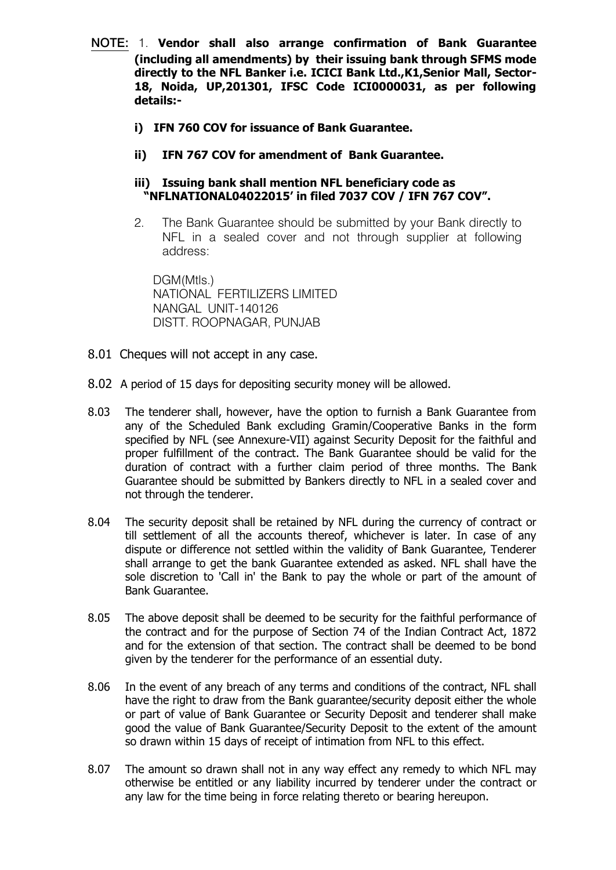- **NOTE:** 1. **Vendor shall also arrange confirmation of Bank Guarantee (including all amendments) by their issuing bank through SFMS mode directly to the NFL Banker i.e. ICICI Bank Ltd.,K1,Senior Mall, Sector-18, Noida, UP,201301, IFSC Code ICI0000031, as per following details:**
	- **i) IFN 760 COV for issuance of Bank Guarantee.**
	- **ii) IFN 767 COV for amendment of Bank Guarantee.**

## **iii) Issuing bank shall mention NFL beneficiary code as "NFLNATIONAL04022015' in filed 7037 COV / IFN 767 COV".**

2. The Bank Guarantee should be submitted by your Bank directly to NFL in a sealed cover and not through supplier at following address:

DGM(Mtls.) NATIONAL FERTILIZERS LIMITED NANGAL UNIT-140126 DISTT. ROOPNAGAR, PUNJAB

- 8.01 Cheques will not accept in any case.
- 8.02 A period of 15 days for depositing security money will be allowed.
- 8.03 The tenderer shall, however, have the option to furnish a Bank Guarantee from any of the Scheduled Bank excluding Gramin/Cooperative Banks in the form specified by NFL (see Annexure-VII) against Security Deposit for the faithful and proper fulfillment of the contract. The Bank Guarantee should be valid for the duration of contract with a further claim period of three months. The Bank Guarantee should be submitted by Bankers directly to NFL in a sealed cover and not through the tenderer.
- 8.04 The security deposit shall be retained by NFL during the currency of contract or till settlement of all the accounts thereof, whichever is later. In case of any dispute or difference not settled within the validity of Bank Guarantee, Tenderer shall arrange to get the bank Guarantee extended as asked. NFL shall have the sole discretion to 'Call in' the Bank to pay the whole or part of the amount of Bank Guarantee.
- 8.05 The above deposit shall be deemed to be security for the faithful performance of the contract and for the purpose of Section 74 of the Indian Contract Act, 1872 and for the extension of that section. The contract shall be deemed to be bond given by the tenderer for the performance of an essential duty.
- 8.06 In the event of any breach of any terms and conditions of the contract, NFL shall have the right to draw from the Bank guarantee/security deposit either the whole or part of value of Bank Guarantee or Security Deposit and tenderer shall make good the value of Bank Guarantee/Security Deposit to the extent of the amount so drawn within 15 days of receipt of intimation from NFL to this effect.
- 8.07 The amount so drawn shall not in any way effect any remedy to which NFL may otherwise be entitled or any liability incurred by tenderer under the contract or any law for the time being in force relating thereto or bearing hereupon.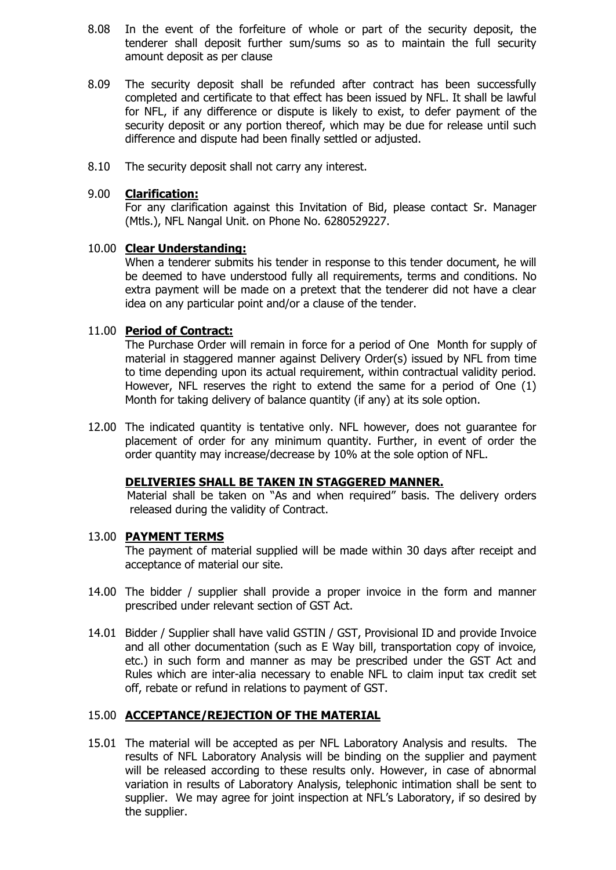- 8.08 In the event of the forfeiture of whole or part of the security deposit, the tenderer shall deposit further sum/sums so as to maintain the full security amount deposit as per clause
- 8.09 The security deposit shall be refunded after contract has been successfully completed and certificate to that effect has been issued by NFL. It shall be lawful for NFL, if any difference or dispute is likely to exist, to defer payment of the security deposit or any portion thereof, which may be due for release until such difference and dispute had been finally settled or adjusted.
- 8.10 The security deposit shall not carry any interest.

#### 9.00 **Clarification:**

For any clarification against this Invitation of Bid, please contact Sr. Manager (Mtls.), NFL Nangal Unit. on Phone No. 6280529227.

## 10.00 **Clear Understanding:**

When a tenderer submits his tender in response to this tender document, he will be deemed to have understood fully all requirements, terms and conditions. No extra payment will be made on a pretext that the tenderer did not have a clear idea on any particular point and/or a clause of the tender.

## 11.00 **Period of Contract:**

The Purchase Order will remain in force for a period of One Month for supply of material in staggered manner against Delivery Order(s) issued by NFL from time to time depending upon its actual requirement, within contractual validity period. However, NFL reserves the right to extend the same for a period of One (1) Month for taking delivery of balance quantity (if any) at its sole option.

12.00 The indicated quantity is tentative only. NFL however, does not guarantee for placement of order for any minimum quantity. Further, in event of order the order quantity may increase/decrease by 10% at the sole option of NFL.

#### **DELIVERIES SHALL BE TAKEN IN STAGGERED MANNER.**

 Material shall be taken on "As and when required" basis. The delivery orders released during the validity of Contract.

#### 13.00 **PAYMENT TERMS**

The payment of material supplied will be made within 30 days after receipt and acceptance of material our site.

- 14.00 The bidder / supplier shall provide a proper invoice in the form and manner prescribed under relevant section of GST Act.
- 14.01 Bidder / Supplier shall have valid GSTIN / GST, Provisional ID and provide Invoice and all other documentation (such as E Way bill, transportation copy of invoice, etc.) in such form and manner as may be prescribed under the GST Act and Rules which are inter-alia necessary to enable NFL to claim input tax credit set off, rebate or refund in relations to payment of GST.

## 15.00 **ACCEPTANCE/REJECTION OF THE MATERIAL**

15.01 The material will be accepted as per NFL Laboratory Analysis and results. The results of NFL Laboratory Analysis will be binding on the supplier and payment will be released according to these results only. However, in case of abnormal variation in results of Laboratory Analysis, telephonic intimation shall be sent to supplier. We may agree for joint inspection at NFL's Laboratory, if so desired by the supplier.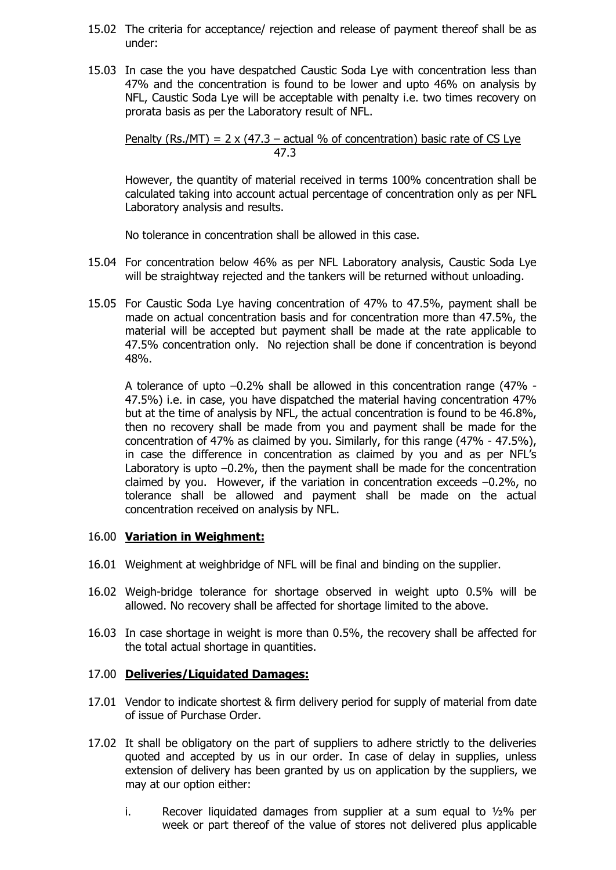- 15.02 The criteria for acceptance/ rejection and release of payment thereof shall be as under:
- 15.03 In case the you have despatched Caustic Soda Lye with concentration less than 47% and the concentration is found to be lower and upto 46% on analysis by NFL, Caustic Soda Lye will be acceptable with penalty i.e. two times recovery on prorata basis as per the Laboratory result of NFL.

Penalty (Rs./MT) =  $2 \times (47.3 - \text{actual} \% \text{ of concentration})$  basic rate of CS Lye 47.3

However, the quantity of material received in terms 100% concentration shall be calculated taking into account actual percentage of concentration only as per NFL Laboratory analysis and results.

No tolerance in concentration shall be allowed in this case.

- 15.04 For concentration below 46% as per NFL Laboratory analysis, Caustic Soda Lye will be straightway rejected and the tankers will be returned without unloading.
- 15.05 For Caustic Soda Lye having concentration of 47% to 47.5%, payment shall be made on actual concentration basis and for concentration more than 47.5%, the material will be accepted but payment shall be made at the rate applicable to 47.5% concentration only. No rejection shall be done if concentration is beyond 48%.

A tolerance of upto –0.2% shall be allowed in this concentration range (47% - 47.5%) i.e. in case, you have dispatched the material having concentration 47% but at the time of analysis by NFL, the actual concentration is found to be 46.8%, then no recovery shall be made from you and payment shall be made for the concentration of 47% as claimed by you. Similarly, for this range (47% - 47.5%), in case the difference in concentration as claimed by you and as per NFL's Laboratory is upto –0.2%, then the payment shall be made for the concentration claimed by you. However, if the variation in concentration exceeds –0.2%, no tolerance shall be allowed and payment shall be made on the actual concentration received on analysis by NFL.

#### 16.00 **Variation in Weighment:**

- 16.01 Weighment at weighbridge of NFL will be final and binding on the supplier.
- 16.02 Weigh-bridge tolerance for shortage observed in weight upto 0.5% will be allowed. No recovery shall be affected for shortage limited to the above.
- 16.03 In case shortage in weight is more than 0.5%, the recovery shall be affected for the total actual shortage in quantities.

#### 17.00 **Deliveries/Liquidated Damages:**

- 17.01 Vendor to indicate shortest & firm delivery period for supply of material from date of issue of Purchase Order.
- 17.02 It shall be obligatory on the part of suppliers to adhere strictly to the deliveries quoted and accepted by us in our order. In case of delay in supplies, unless extension of delivery has been granted by us on application by the suppliers, we may at our option either:
	- i. Recover liquidated damages from supplier at a sum equal to  $1/2\%$  per week or part thereof of the value of stores not delivered plus applicable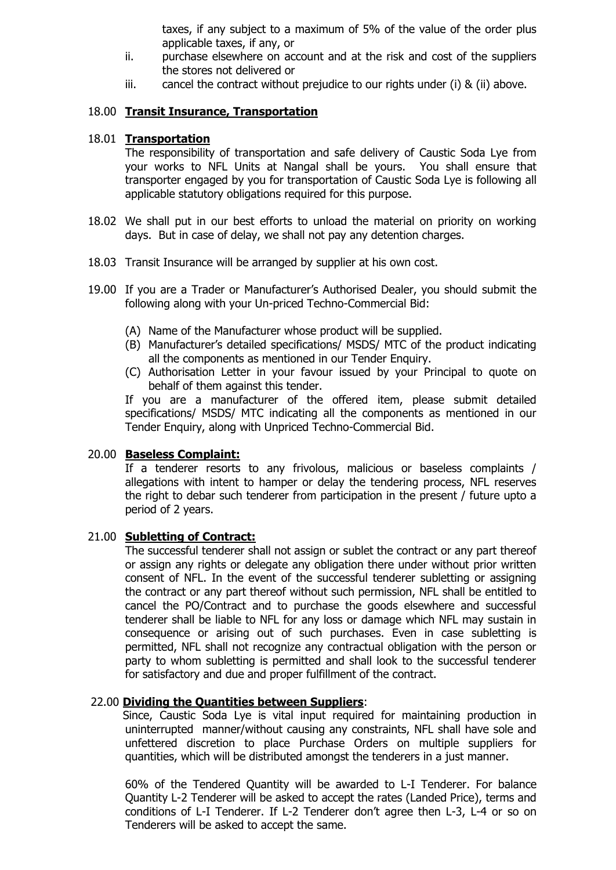taxes, if any subject to a maximum of 5% of the value of the order plus applicable taxes, if any, or

- ii. purchase elsewhere on account and at the risk and cost of the suppliers the stores not delivered or
- iii. cancel the contract without prejudice to our rights under  $(i)$  &  $(ii)$  above.

## 18.00 **Transit Insurance, Transportation**

#### 18.01 **Transportation**

The responsibility of transportation and safe delivery of Caustic Soda Lye from your works to NFL Units at Nangal shall be yours. You shall ensure that transporter engaged by you for transportation of Caustic Soda Lye is following all applicable statutory obligations required for this purpose.

- 18.02 We shall put in our best efforts to unload the material on priority on working days. But in case of delay, we shall not pay any detention charges.
- 18.03 Transit Insurance will be arranged by supplier at his own cost.
- 19.00 If you are a Trader or Manufacturer's Authorised Dealer, you should submit the following along with your Un-priced Techno-Commercial Bid:
	- (A) Name of the Manufacturer whose product will be supplied.
	- (B) Manufacturer's detailed specifications/ MSDS/ MTC of the product indicating all the components as mentioned in our Tender Enquiry.
	- (C) Authorisation Letter in your favour issued by your Principal to quote on behalf of them against this tender.

If you are a manufacturer of the offered item, please submit detailed specifications/ MSDS/ MTC indicating all the components as mentioned in our Tender Enquiry, along with Unpriced Techno-Commercial Bid.

#### 20.00 **Baseless Complaint:**

If a tenderer resorts to any frivolous, malicious or baseless complaints / allegations with intent to hamper or delay the tendering process, NFL reserves the right to debar such tenderer from participation in the present / future upto a period of 2 years.

#### 21.00 **Subletting of Contract:**

The successful tenderer shall not assign or sublet the contract or any part thereof or assign any rights or delegate any obligation there under without prior written consent of NFL. In the event of the successful tenderer subletting or assigning the contract or any part thereof without such permission, NFL shall be entitled to cancel the PO/Contract and to purchase the goods elsewhere and successful tenderer shall be liable to NFL for any loss or damage which NFL may sustain in consequence or arising out of such purchases. Even in case subletting is permitted, NFL shall not recognize any contractual obligation with the person or party to whom subletting is permitted and shall look to the successful tenderer for satisfactory and due and proper fulfillment of the contract.

#### 22.00 **Dividing the Quantities between Suppliers**:

 Since, Caustic Soda Lye is vital input required for maintaining production in uninterrupted manner/without causing any constraints, NFL shall have sole and unfettered discretion to place Purchase Orders on multiple suppliers for quantities, which will be distributed amongst the tenderers in a just manner.

60% of the Tendered Quantity will be awarded to L-I Tenderer. For balance Quantity L-2 Tenderer will be asked to accept the rates (Landed Price), terms and conditions of L-I Tenderer. If L-2 Tenderer don't agree then L-3, L-4 or so on Tenderers will be asked to accept the same.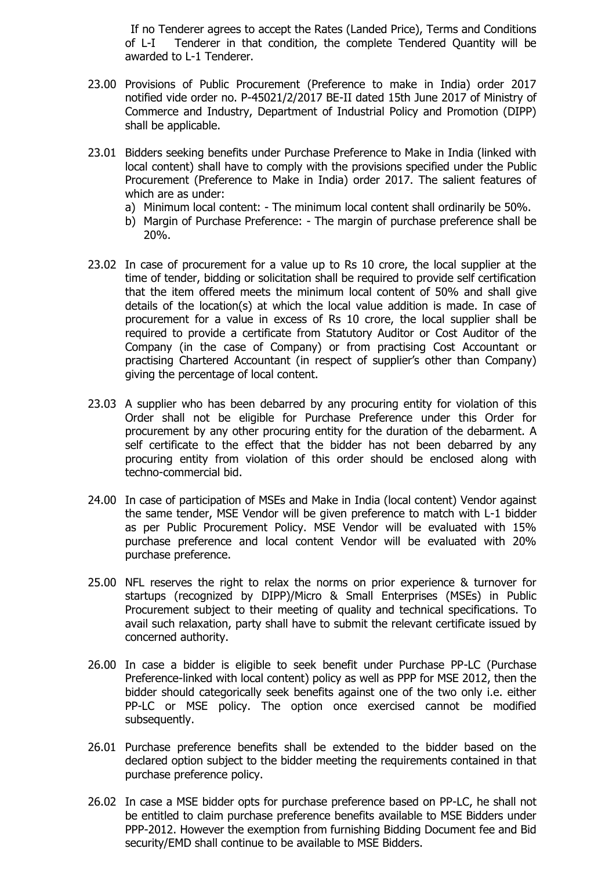If no Tenderer agrees to accept the Rates (Landed Price), Terms and Conditions of L-I Tenderer in that condition, the complete Tendered Quantity will be awarded to L-1 Tenderer.

- 23.00 Provisions of Public Procurement (Preference to make in India) order 2017 notified vide order no. P-45021/2/2017 BE-II dated 15th June 2017 of Ministry of Commerce and Industry, Department of Industrial Policy and Promotion (DIPP) shall be applicable.
- 23.01 Bidders seeking benefits under Purchase Preference to Make in India (linked with local content) shall have to comply with the provisions specified under the Public Procurement (Preference to Make in India) order 2017. The salient features of which are as under:
	- a) Minimum local content: The minimum local content shall ordinarily be 50%.
	- b) Margin of Purchase Preference: The margin of purchase preference shall be 20%.
- 23.02 In case of procurement for a value up to Rs 10 crore, the local supplier at the time of tender, bidding or solicitation shall be required to provide self certification that the item offered meets the minimum local content of 50% and shall give details of the location(s) at which the local value addition is made. In case of procurement for a value in excess of Rs 10 crore, the local supplier shall be required to provide a certificate from Statutory Auditor or Cost Auditor of the Company (in the case of Company) or from practising Cost Accountant or practising Chartered Accountant (in respect of supplier's other than Company) giving the percentage of local content.
- 23.03 A supplier who has been debarred by any procuring entity for violation of this Order shall not be eligible for Purchase Preference under this Order for procurement by any other procuring entity for the duration of the debarment. A self certificate to the effect that the bidder has not been debarred by any procuring entity from violation of this order should be enclosed along with techno-commercial bid.
- 24.00 In case of participation of MSEs and Make in India (local content) Vendor against the same tender, MSE Vendor will be given preference to match with L-1 bidder as per Public Procurement Policy. MSE Vendor will be evaluated with 15% purchase preference and local content Vendor will be evaluated with 20% purchase preference.
- 25.00 NFL reserves the right to relax the norms on prior experience & turnover for startups (recognized by DIPP)/Micro & Small Enterprises (MSEs) in Public Procurement subject to their meeting of quality and technical specifications. To avail such relaxation, party shall have to submit the relevant certificate issued by concerned authority.
- 26.00 In case a bidder is eligible to seek benefit under Purchase PP-LC (Purchase Preference-linked with local content) policy as well as PPP for MSE 2012, then the bidder should categorically seek benefits against one of the two only i.e. either PP-LC or MSE policy. The option once exercised cannot be modified subsequently.
- 26.01 Purchase preference benefits shall be extended to the bidder based on the declared option subject to the bidder meeting the requirements contained in that purchase preference policy.
- 26.02 In case a MSE bidder opts for purchase preference based on PP-LC, he shall not be entitled to claim purchase preference benefits available to MSE Bidders under PPP-2012. However the exemption from furnishing Bidding Document fee and Bid security/EMD shall continue to be available to MSE Bidders.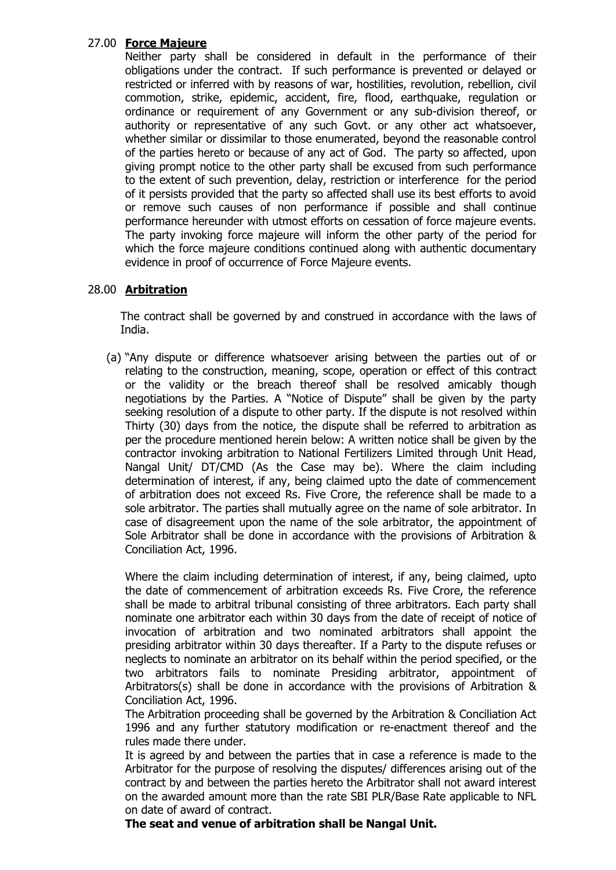## 27.00 **Force Majeure**

Neither party shall be considered in default in the performance of their obligations under the contract. If such performance is prevented or delayed or restricted or inferred with by reasons of war, hostilities, revolution, rebellion, civil commotion, strike, epidemic, accident, fire, flood, earthquake, regulation or ordinance or requirement of any Government or any sub-division thereof, or authority or representative of any such Govt. or any other act whatsoever, whether similar or dissimilar to those enumerated, beyond the reasonable control of the parties hereto or because of any act of God. The party so affected, upon giving prompt notice to the other party shall be excused from such performance to the extent of such prevention, delay, restriction or interference for the period of it persists provided that the party so affected shall use its best efforts to avoid or remove such causes of non performance if possible and shall continue performance hereunder with utmost efforts on cessation of force majeure events. The party invoking force majeure will inform the other party of the period for which the force majeure conditions continued along with authentic documentary evidence in proof of occurrence of Force Majeure events.

## 28.00 **Arbitration**

The contract shall be governed by and construed in accordance with the laws of India.

(a) "Any dispute or difference whatsoever arising between the parties out of or relating to the construction, meaning, scope, operation or effect of this contract or the validity or the breach thereof shall be resolved amicably though negotiations by the Parties. A "Notice of Dispute" shall be given by the party seeking resolution of a dispute to other party. If the dispute is not resolved within Thirty (30) days from the notice, the dispute shall be referred to arbitration as per the procedure mentioned herein below: A written notice shall be given by the contractor invoking arbitration to National Fertilizers Limited through Unit Head, Nangal Unit/ DT/CMD (As the Case may be). Where the claim including determination of interest, if any, being claimed upto the date of commencement of arbitration does not exceed Rs. Five Crore, the reference shall be made to a sole arbitrator. The parties shall mutually agree on the name of sole arbitrator. In case of disagreement upon the name of the sole arbitrator, the appointment of Sole Arbitrator shall be done in accordance with the provisions of Arbitration & Conciliation Act, 1996.

Where the claim including determination of interest, if any, being claimed, upto the date of commencement of arbitration exceeds Rs. Five Crore, the reference shall be made to arbitral tribunal consisting of three arbitrators. Each party shall nominate one arbitrator each within 30 days from the date of receipt of notice of invocation of arbitration and two nominated arbitrators shall appoint the presiding arbitrator within 30 days thereafter. If a Party to the dispute refuses or neglects to nominate an arbitrator on its behalf within the period specified, or the two arbitrators fails to nominate Presiding arbitrator, appointment of Arbitrators(s) shall be done in accordance with the provisions of Arbitration & Conciliation Act, 1996.

The Arbitration proceeding shall be governed by the Arbitration & Conciliation Act 1996 and any further statutory modification or re-enactment thereof and the rules made there under.

It is agreed by and between the parties that in case a reference is made to the Arbitrator for the purpose of resolving the disputes/ differences arising out of the contract by and between the parties hereto the Arbitrator shall not award interest on the awarded amount more than the rate SBI PLR/Base Rate applicable to NFL on date of award of contract.

**The seat and venue of arbitration shall be Nangal Unit.**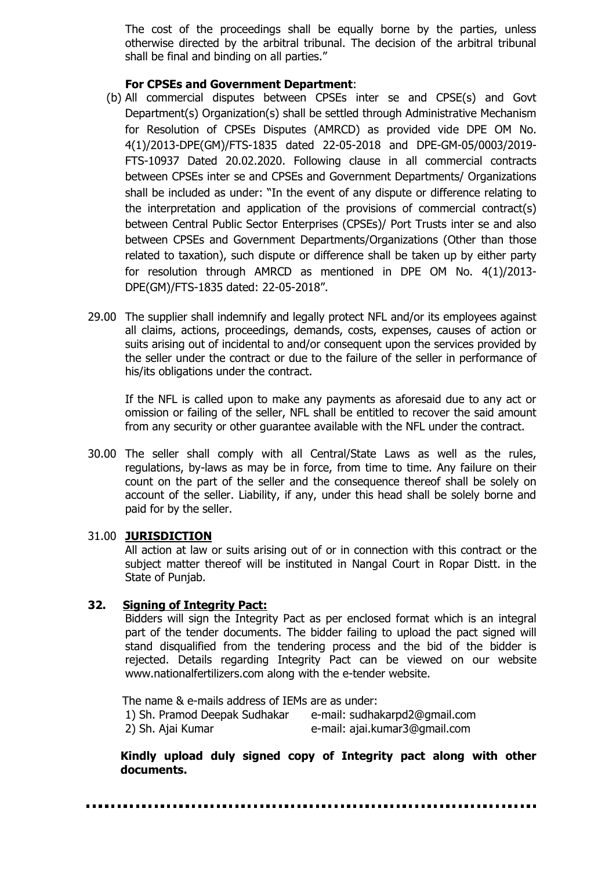The cost of the proceedings shall be equally borne by the parties, unless otherwise directed by the arbitral tribunal. The decision of the arbitral tribunal shall be final and binding on all parties."

#### **For CPSEs and Government Department**:

- (b) All commercial disputes between CPSEs inter se and CPSE(s) and Govt Department(s) Organization(s) shall be settled through Administrative Mechanism for Resolution of CPSEs Disputes (AMRCD) as provided vide DPE OM No. 4(1)/2013-DPE(GM)/FTS-1835 dated 22-05-2018 and DPE-GM-05/0003/2019- FTS-10937 Dated 20.02.2020. Following clause in all commercial contracts between CPSEs inter se and CPSEs and Government Departments/ Organizations shall be included as under: "In the event of any dispute or difference relating to the interpretation and application of the provisions of commercial contract(s) between Central Public Sector Enterprises (CPSEs)/ Port Trusts inter se and also between CPSEs and Government Departments/Organizations (Other than those related to taxation), such dispute or difference shall be taken up by either party for resolution through AMRCD as mentioned in DPE OM No. 4(1)/2013- DPE(GM)/FTS-1835 dated: 22-05-2018".
- 29.00 The supplier shall indemnify and legally protect NFL and/or its employees against all claims, actions, proceedings, demands, costs, expenses, causes of action or suits arising out of incidental to and/or consequent upon the services provided by the seller under the contract or due to the failure of the seller in performance of his/its obligations under the contract.

If the NFL is called upon to make any payments as aforesaid due to any act or omission or failing of the seller, NFL shall be entitled to recover the said amount from any security or other guarantee available with the NFL under the contract.

30.00 The seller shall comply with all Central/State Laws as well as the rules, regulations, by-laws as may be in force, from time to time. Any failure on their count on the part of the seller and the consequence thereof shall be solely on account of the seller. Liability, if any, under this head shall be solely borne and paid for by the seller.

#### 31.00 **JURISDICTION**

All action at law or suits arising out of or in connection with this contract or the subject matter thereof will be instituted in Nangal Court in Ropar Distt. in the State of Punjab.

#### **32. Signing of Integrity Pact:**

Bidders will sign the Integrity Pact as per enclosed format which is an integral part of the tender documents. The bidder failing to upload the pact signed will stand disqualified from the tendering process and the bid of the bidder is rejected. Details regarding Integrity Pact can be viewed on our website www.nationalfertilizers.com along with the e-tender website.

 The name & e-mails address of IEMs are as under: 1) Sh. Pramod Deepak Sudhakar e-mail: [sudhakarpd2@gmail.com](mailto:sudhakarpd2@gmail.com) 2) Sh. Ajai Kumar e-mail: [ajai.kumar3@gmail.com](mailto:ajai.kumar3@gmail.com)

**Kindly upload duly signed copy of Integrity pact along with other documents.**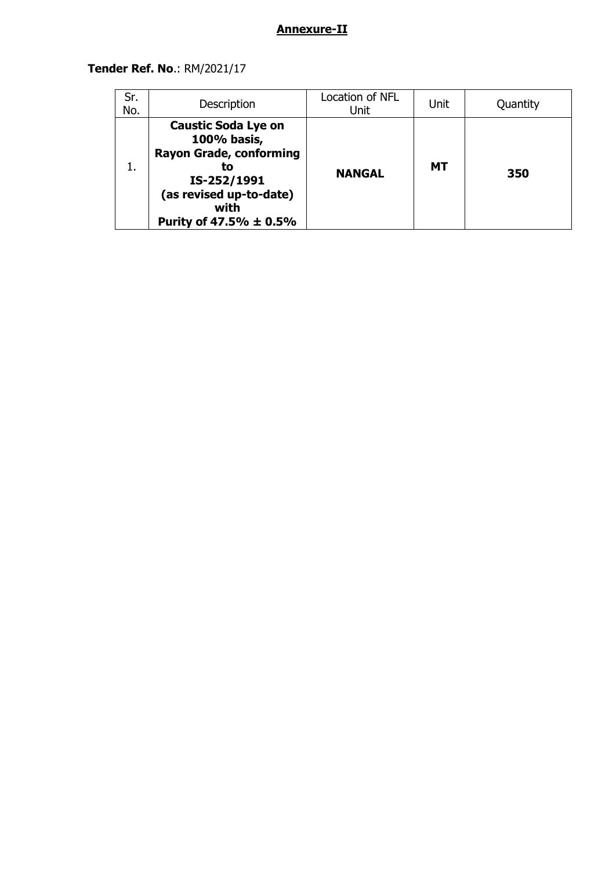## **Annexure-II**

## **Tender Ref. No**.: RM/2021/17

| Sr.<br>No. | Description                                                                                                                                                   | Location of NFL<br>Unit | Unit      | Quantity |
|------------|---------------------------------------------------------------------------------------------------------------------------------------------------------------|-------------------------|-----------|----------|
| 1.         | <b>Caustic Soda Lye on</b><br>100% basis,<br><b>Rayon Grade, conforming</b><br>το<br>IS-252/1991<br>(as revised up-to-date)<br>with<br>Purity of 47.5% ± 0.5% | <b>NANGAL</b>           | <b>MT</b> | 350      |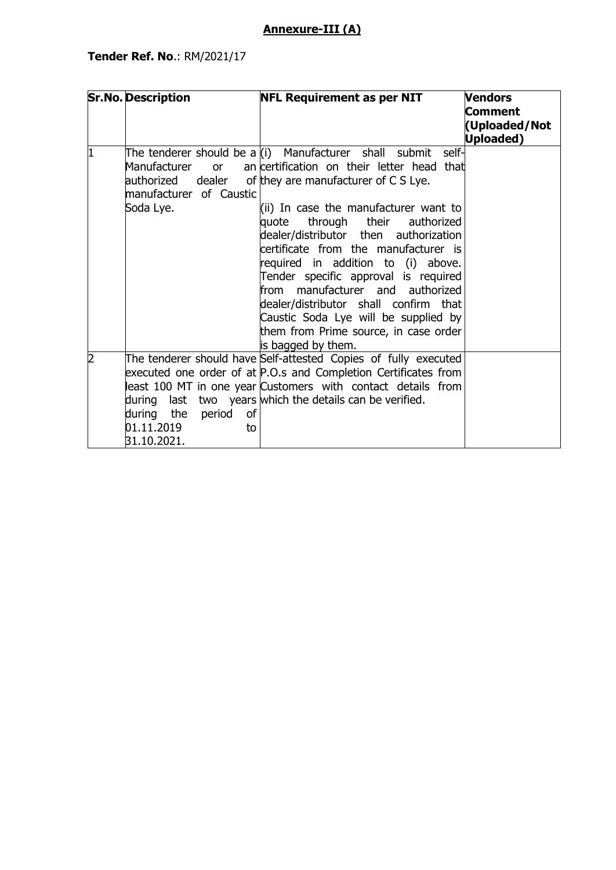## **Annexure-III (A)**

|   | <b>Sr.No. Description</b>                                     | <b>NFL Requirement as per NIT</b>                                                                                                                                                                                                                                                                                                                                                                                                                                                                                                                                                                           | <b>Vendors</b><br>Comment<br>(Uploaded/Not<br><b>Uploaded)</b> |
|---|---------------------------------------------------------------|-------------------------------------------------------------------------------------------------------------------------------------------------------------------------------------------------------------------------------------------------------------------------------------------------------------------------------------------------------------------------------------------------------------------------------------------------------------------------------------------------------------------------------------------------------------------------------------------------------------|----------------------------------------------------------------|
| 1 | Manufacturer<br>or<br>manufacturer of Caustic<br>Soda Lye.    | The tenderer should be a (i) Manufacturer shall submit<br>self-<br>an certification on their letter head that<br>authorized dealer of they are manufacturer of C S Lye.<br>(ii) In case the manufacturer want to<br>quote<br>through their<br>authorized<br>dealer/distributor then authorization<br>certificate from the manufacturer is<br>required in addition to (i) above.<br>Tender specific approval is required<br>from manufacturer and authorized<br>dealer/distributor shall confirm that<br>Caustic Soda Lye will be supplied by<br>them from Prime source, in case order<br>is bagged by them. |                                                                |
| 2 | during the<br>period<br>οf<br>01.11.2019<br>to<br>31.10.2021. | The tenderer should have Self-attested Copies of fully executed<br>executed one order of at P.O.s and Completion Certificates from<br>least 100 MT in one year Customers with contact details from<br>during last two years which the details can be verified.                                                                                                                                                                                                                                                                                                                                              |                                                                |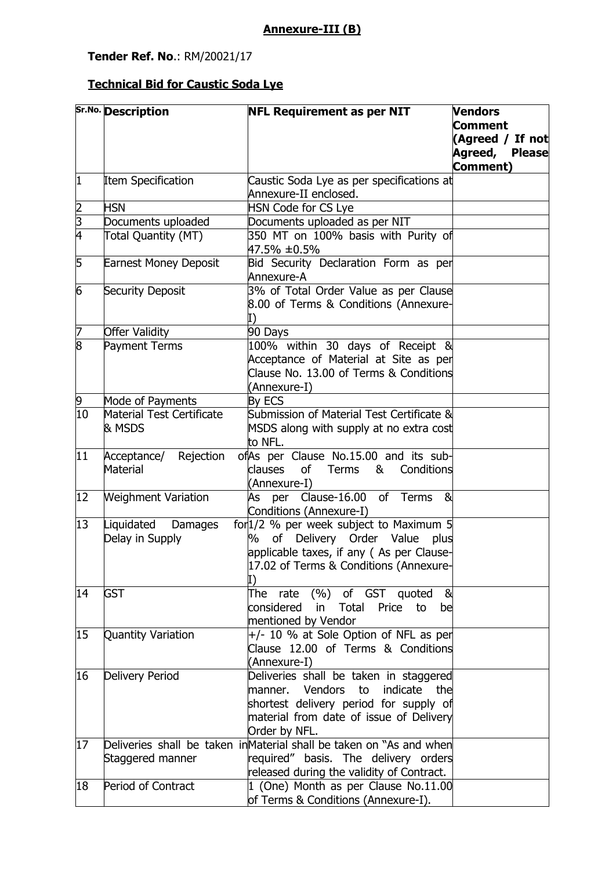## **Tender Ref. No**.: RM/20021/17

# **Technical Bid for Caustic Soda Lye**

| <b>Comment</b><br>(Agreed / If not<br>Agreed, Please<br>Comment)<br>$\vert$ 1<br><b>Item Specification</b><br>Caustic Soda Lye as per specifications at<br>Annexure-II enclosed.<br>$\frac{2}{3}$<br><b>HSN</b><br><b>HSN Code for CS Lye</b><br>Documents uploaded as per NIT<br>Documents uploaded<br>350 MT on 100% basis with Purity of<br><b>Total Quantity (MT)</b><br>47.5% ±0.5%<br>5<br>Bid Security Declaration Form as per<br><b>Earnest Money Deposit</b><br>Annexure-A<br>6<br>3% of Total Order Value as per Clause<br>Security Deposit<br>8.00 of Terms & Conditions (Annexure-<br>I)<br>7<br><b>Offer Validity</b><br>90 Days<br>8<br>Payment Terms<br>100% within 30 days of Receipt &<br>Acceptance of Material at Site as per | Sr.No. Description | <b>NFL Requirement as per NIT</b> | <b>Vendors</b> |
|--------------------------------------------------------------------------------------------------------------------------------------------------------------------------------------------------------------------------------------------------------------------------------------------------------------------------------------------------------------------------------------------------------------------------------------------------------------------------------------------------------------------------------------------------------------------------------------------------------------------------------------------------------------------------------------------------------------------------------------------------|--------------------|-----------------------------------|----------------|
|                                                                                                                                                                                                                                                                                                                                                                                                                                                                                                                                                                                                                                                                                                                                                  |                    |                                   |                |
|                                                                                                                                                                                                                                                                                                                                                                                                                                                                                                                                                                                                                                                                                                                                                  |                    |                                   |                |
|                                                                                                                                                                                                                                                                                                                                                                                                                                                                                                                                                                                                                                                                                                                                                  |                    |                                   |                |
|                                                                                                                                                                                                                                                                                                                                                                                                                                                                                                                                                                                                                                                                                                                                                  |                    |                                   |                |
|                                                                                                                                                                                                                                                                                                                                                                                                                                                                                                                                                                                                                                                                                                                                                  |                    |                                   |                |
|                                                                                                                                                                                                                                                                                                                                                                                                                                                                                                                                                                                                                                                                                                                                                  |                    |                                   |                |
|                                                                                                                                                                                                                                                                                                                                                                                                                                                                                                                                                                                                                                                                                                                                                  |                    |                                   |                |
|                                                                                                                                                                                                                                                                                                                                                                                                                                                                                                                                                                                                                                                                                                                                                  |                    |                                   |                |
|                                                                                                                                                                                                                                                                                                                                                                                                                                                                                                                                                                                                                                                                                                                                                  |                    |                                   |                |
|                                                                                                                                                                                                                                                                                                                                                                                                                                                                                                                                                                                                                                                                                                                                                  |                    |                                   |                |
|                                                                                                                                                                                                                                                                                                                                                                                                                                                                                                                                                                                                                                                                                                                                                  |                    |                                   |                |
|                                                                                                                                                                                                                                                                                                                                                                                                                                                                                                                                                                                                                                                                                                                                                  |                    |                                   |                |
|                                                                                                                                                                                                                                                                                                                                                                                                                                                                                                                                                                                                                                                                                                                                                  |                    |                                   |                |
|                                                                                                                                                                                                                                                                                                                                                                                                                                                                                                                                                                                                                                                                                                                                                  |                    |                                   |                |
|                                                                                                                                                                                                                                                                                                                                                                                                                                                                                                                                                                                                                                                                                                                                                  |                    |                                   |                |
|                                                                                                                                                                                                                                                                                                                                                                                                                                                                                                                                                                                                                                                                                                                                                  |                    |                                   |                |
|                                                                                                                                                                                                                                                                                                                                                                                                                                                                                                                                                                                                                                                                                                                                                  |                    |                                   |                |
|                                                                                                                                                                                                                                                                                                                                                                                                                                                                                                                                                                                                                                                                                                                                                  |                    |                                   |                |
|                                                                                                                                                                                                                                                                                                                                                                                                                                                                                                                                                                                                                                                                                                                                                  |                    |                                   |                |
|                                                                                                                                                                                                                                                                                                                                                                                                                                                                                                                                                                                                                                                                                                                                                  |                    |                                   |                |
| Clause No. 13.00 of Terms & Conditions                                                                                                                                                                                                                                                                                                                                                                                                                                                                                                                                                                                                                                                                                                           |                    |                                   |                |
| (Annexure-I)                                                                                                                                                                                                                                                                                                                                                                                                                                                                                                                                                                                                                                                                                                                                     |                    |                                   |                |
| 9<br>Mode of Payments<br>By ECS                                                                                                                                                                                                                                                                                                                                                                                                                                                                                                                                                                                                                                                                                                                  |                    |                                   |                |
| 10<br>Material Test Certificate<br>Submission of Material Test Certificate &                                                                                                                                                                                                                                                                                                                                                                                                                                                                                                                                                                                                                                                                     |                    |                                   |                |
| & MSDS<br>MSDS along with supply at no extra cost                                                                                                                                                                                                                                                                                                                                                                                                                                                                                                                                                                                                                                                                                                |                    |                                   |                |
| to NFL.                                                                                                                                                                                                                                                                                                                                                                                                                                                                                                                                                                                                                                                                                                                                          |                    |                                   |                |
| $ 11\rangle$<br>ofAs per Clause No.15.00 and its sub-<br>Acceptance/<br>Rejection                                                                                                                                                                                                                                                                                                                                                                                                                                                                                                                                                                                                                                                                |                    |                                   |                |
| Material<br>clauses<br>of Terms<br>&<br>Conditions                                                                                                                                                                                                                                                                                                                                                                                                                                                                                                                                                                                                                                                                                               |                    |                                   |                |
| (Annexure-I)                                                                                                                                                                                                                                                                                                                                                                                                                                                                                                                                                                                                                                                                                                                                     |                    |                                   |                |
| 12<br><b>Weighment Variation</b><br>As per Clause-16.00 of Terms<br>&                                                                                                                                                                                                                                                                                                                                                                                                                                                                                                                                                                                                                                                                            |                    |                                   |                |
| Conditions (Annexure-I)                                                                                                                                                                                                                                                                                                                                                                                                                                                                                                                                                                                                                                                                                                                          |                    |                                   |                |
| for 1/2 % per week subject to Maximum 5<br>13<br>Liquidated<br>Damages                                                                                                                                                                                                                                                                                                                                                                                                                                                                                                                                                                                                                                                                           |                    |                                   |                |
| % of Delivery Order Value<br>Delay in Supply<br>plus                                                                                                                                                                                                                                                                                                                                                                                                                                                                                                                                                                                                                                                                                             |                    |                                   |                |
| applicable taxes, if any (As per Clause-                                                                                                                                                                                                                                                                                                                                                                                                                                                                                                                                                                                                                                                                                                         |                    |                                   |                |
| 17.02 of Terms & Conditions (Annexure-                                                                                                                                                                                                                                                                                                                                                                                                                                                                                                                                                                                                                                                                                                           |                    |                                   |                |
| I)                                                                                                                                                                                                                                                                                                                                                                                                                                                                                                                                                                                                                                                                                                                                               |                    |                                   |                |
| 14<br><b>GST</b><br>of GST quoted<br>&<br>The                                                                                                                                                                                                                                                                                                                                                                                                                                                                                                                                                                                                                                                                                                    |                    |                                   |                |
| (%)<br>rate<br>considered                                                                                                                                                                                                                                                                                                                                                                                                                                                                                                                                                                                                                                                                                                                        |                    |                                   |                |
| in<br>Total<br>Price<br>to<br>be                                                                                                                                                                                                                                                                                                                                                                                                                                                                                                                                                                                                                                                                                                                 |                    |                                   |                |
| mentioned by Vendor                                                                                                                                                                                                                                                                                                                                                                                                                                                                                                                                                                                                                                                                                                                              |                    |                                   |                |
| +/- 10 % at Sole Option of NFL as per<br>15<br>Quantity Variation                                                                                                                                                                                                                                                                                                                                                                                                                                                                                                                                                                                                                                                                                |                    |                                   |                |
| Clause 12.00 of Terms & Conditions                                                                                                                                                                                                                                                                                                                                                                                                                                                                                                                                                                                                                                                                                                               |                    |                                   |                |
| (Annexure-I)                                                                                                                                                                                                                                                                                                                                                                                                                                                                                                                                                                                                                                                                                                                                     |                    |                                   |                |
| Delivery Period<br>16<br>Deliveries shall be taken in staggered                                                                                                                                                                                                                                                                                                                                                                                                                                                                                                                                                                                                                                                                                  |                    |                                   |                |
| Vendors<br>to<br>indicate<br>the<br>manner.                                                                                                                                                                                                                                                                                                                                                                                                                                                                                                                                                                                                                                                                                                      |                    |                                   |                |
| shortest delivery period for supply of                                                                                                                                                                                                                                                                                                                                                                                                                                                                                                                                                                                                                                                                                                           |                    |                                   |                |
| material from date of issue of Delivery                                                                                                                                                                                                                                                                                                                                                                                                                                                                                                                                                                                                                                                                                                          |                    |                                   |                |
| Order by NFL.                                                                                                                                                                                                                                                                                                                                                                                                                                                                                                                                                                                                                                                                                                                                    |                    |                                   |                |
| Deliveries shall be taken inMaterial shall be taken on "As and when<br>17                                                                                                                                                                                                                                                                                                                                                                                                                                                                                                                                                                                                                                                                        |                    |                                   |                |
| required" basis. The delivery orders<br>Staggered manner                                                                                                                                                                                                                                                                                                                                                                                                                                                                                                                                                                                                                                                                                         |                    |                                   |                |
| released during the validity of Contract.                                                                                                                                                                                                                                                                                                                                                                                                                                                                                                                                                                                                                                                                                                        |                    |                                   |                |
| 1 (One) Month as per Clause No.11.00<br>Period of Contract<br>18                                                                                                                                                                                                                                                                                                                                                                                                                                                                                                                                                                                                                                                                                 |                    |                                   |                |
| of Terms & Conditions (Annexure-I).                                                                                                                                                                                                                                                                                                                                                                                                                                                                                                                                                                                                                                                                                                              |                    |                                   |                |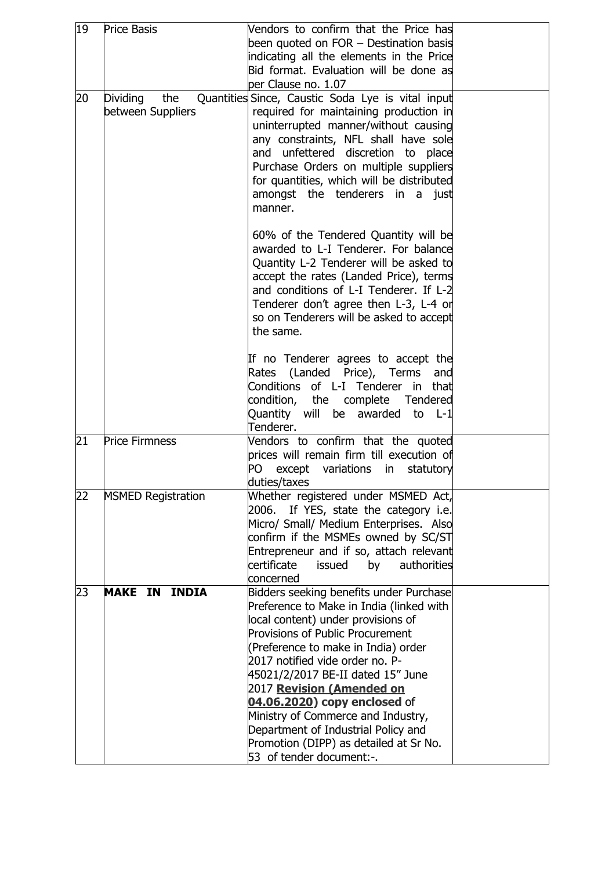| 19 | <b>Price Basis</b>        | Vendors to confirm that the Price has                                            |  |
|----|---------------------------|----------------------------------------------------------------------------------|--|
|    |                           | been quoted on FOR - Destination basis                                           |  |
|    |                           | indicating all the elements in the Price                                         |  |
|    |                           | Bid format. Evaluation will be done as                                           |  |
|    |                           | per Clause no. 1.07                                                              |  |
| 20 | <b>Dividing</b><br>the    | Quantities Since, Caustic Soda Lye is vital input                                |  |
|    | between Suppliers         | required for maintaining production in                                           |  |
|    |                           | uninterrupted manner/without causing                                             |  |
|    |                           | any constraints, NFL shall have sole                                             |  |
|    |                           | and unfettered discretion to place                                               |  |
|    |                           | Purchase Orders on multiple suppliers                                            |  |
|    |                           | for quantities, which will be distributed                                        |  |
|    |                           | amongst the tenderers in a just                                                  |  |
|    |                           | manner.                                                                          |  |
|    |                           |                                                                                  |  |
|    |                           | 60% of the Tendered Quantity will be                                             |  |
|    |                           | awarded to L-I Tenderer. For balance                                             |  |
|    |                           | Quantity L-2 Tenderer will be asked to<br>accept the rates (Landed Price), terms |  |
|    |                           | and conditions of L-I Tenderer. If L-2                                           |  |
|    |                           | Tenderer don't agree then L-3, L-4 or                                            |  |
|    |                           | so on Tenderers will be asked to accept                                          |  |
|    |                           | the same.                                                                        |  |
|    |                           |                                                                                  |  |
|    |                           | If no Tenderer agrees to accept the                                              |  |
|    |                           | Rates (Landed Price), Terms<br>and                                               |  |
|    |                           | Conditions of L-I Tenderer in that                                               |  |
|    |                           | condition, the complete Tendered                                                 |  |
|    |                           | Quantity will be awarded to L-1                                                  |  |
|    |                           | Tenderer.                                                                        |  |
| 21 | <b>Price Firmness</b>     | Vendors to confirm that the quoted                                               |  |
|    |                           | prices will remain firm till execution of                                        |  |
|    |                           | except variations<br>PO<br>statutory<br>in                                       |  |
| 22 | <b>MSMED Registration</b> | duties/taxes<br>Whether registered under MSMED Act,                              |  |
|    |                           | If YES, state the category i.e.<br>2006.                                         |  |
|    |                           | Micro/ Small/ Medium Enterprises. Also                                           |  |
|    |                           | confirm if the MSMEs owned by SC/ST                                              |  |
|    |                           | Entrepreneur and if so, attach relevant                                          |  |
|    |                           | certificate<br>issued<br>authorities<br>by                                       |  |
|    |                           | concerned                                                                        |  |
| 23 | <b>MAKE IN INDIA</b>      | Bidders seeking benefits under Purchase                                          |  |
|    |                           | Preference to Make in India (linked with                                         |  |
|    |                           | local content) under provisions of                                               |  |
|    |                           | <b>Provisions of Public Procurement</b>                                          |  |
|    |                           | (Preference to make in India) order                                              |  |
|    |                           | 2017 notified vide order no. P-                                                  |  |
|    |                           | 45021/2/2017 BE-II dated 15" June                                                |  |
|    |                           | 2017 Revision (Amended on                                                        |  |
|    |                           | 04.06.2020) copy enclosed of                                                     |  |
|    |                           | Ministry of Commerce and Industry,                                               |  |
|    |                           | Department of Industrial Policy and                                              |  |
|    |                           | Promotion (DIPP) as detailed at Sr No.                                           |  |
|    |                           | 53 of tender document:-.                                                         |  |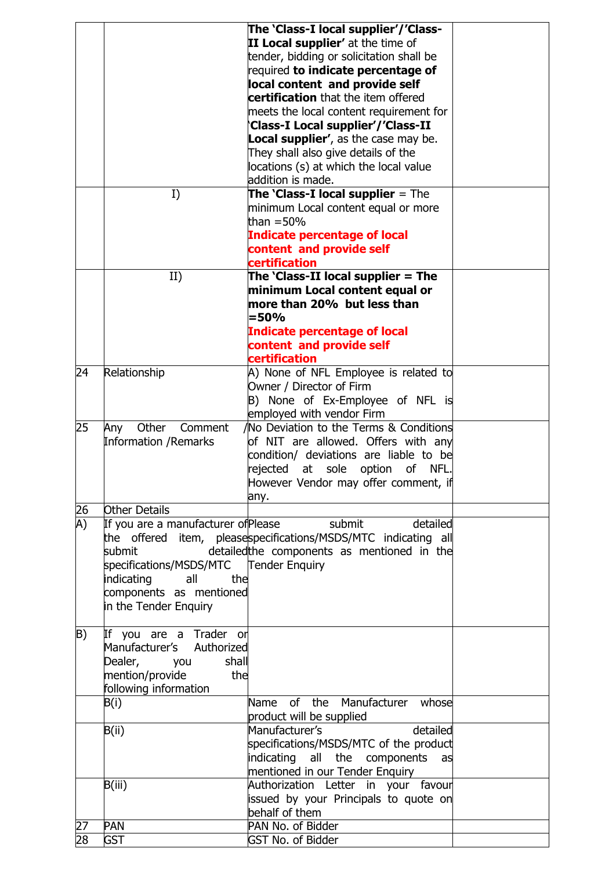|    |                                         | The 'Class-I local supplier'/'Class-                                                                            |  |
|----|-----------------------------------------|-----------------------------------------------------------------------------------------------------------------|--|
|    |                                         | II Local supplier' at the time of                                                                               |  |
|    |                                         | tender, bidding or solicitation shall be                                                                        |  |
|    |                                         | required to indicate percentage of                                                                              |  |
|    |                                         | local content and provide self                                                                                  |  |
|    |                                         | certification that the item offered                                                                             |  |
|    |                                         | meets the local content requirement for                                                                         |  |
|    |                                         | Class-I Local supplier'/'Class-II                                                                               |  |
|    |                                         | <b>Local supplier', as the case may be.</b>                                                                     |  |
|    |                                         | They shall also give details of the                                                                             |  |
|    |                                         | locations (s) at which the local value                                                                          |  |
|    |                                         | addition is made.                                                                                               |  |
|    | I)                                      | The 'Class-I local supplier = The                                                                               |  |
|    |                                         | minimum Local content equal or more                                                                             |  |
|    |                                         | than $=$ 50%                                                                                                    |  |
|    |                                         | <b>Indicate percentage of local</b>                                                                             |  |
|    |                                         | content and provide self                                                                                        |  |
|    |                                         | certification                                                                                                   |  |
|    | II)                                     | The $'Class-II$ local supplier = The                                                                            |  |
|    |                                         | minimum Local content equal or                                                                                  |  |
|    |                                         | more than 20% but less than                                                                                     |  |
|    |                                         | $= 50%$                                                                                                         |  |
|    |                                         | <b>Indicate percentage of local</b><br>content and provide self                                                 |  |
|    |                                         | certification                                                                                                   |  |
| 24 | Relationship                            | A) None of NFL Employee is related to                                                                           |  |
|    |                                         | Owner / Director of Firm                                                                                        |  |
|    |                                         | B) None of Ex-Employee of NFL is                                                                                |  |
|    |                                         | employed with vendor Firm                                                                                       |  |
| 25 | Other<br>Comment<br>Any                 | No Deviation to the Terms & Conditions                                                                          |  |
|    | <b>Information / Remarks</b>            | of NIT are allowed. Offers with any                                                                             |  |
|    |                                         | condition/ deviations are liable to be                                                                          |  |
|    |                                         | rejected<br>sole<br>at<br>option<br>οf<br>NFL.                                                                  |  |
|    |                                         | However Vendor may offer comment, if                                                                            |  |
|    |                                         | any. In the case of the case of the case of the case of the case of the case of the case of the case of the cas |  |
| 26 | Other Details                           |                                                                                                                 |  |
| A) | If you are a manufacturer of Please     | submit<br>detailed                                                                                              |  |
|    |                                         | the offered item, pleasespecifications/MSDS/MTC indicating all                                                  |  |
|    | submit                                  | detailed the components as mentioned in the                                                                     |  |
|    | specifications/MSDS/MTC  Tender Enquiry |                                                                                                                 |  |
|    | indicating<br>all<br>the                |                                                                                                                 |  |
|    | components as mentioned                 |                                                                                                                 |  |
|    | in the Tender Enquiry                   |                                                                                                                 |  |
|    |                                         |                                                                                                                 |  |
| B) | If you are a Trader or                  |                                                                                                                 |  |
|    | Manufacturer's Authorized               |                                                                                                                 |  |
|    | shall<br>Dealer,<br>you                 |                                                                                                                 |  |
|    | mention/provide<br>the                  |                                                                                                                 |  |
|    | following information                   |                                                                                                                 |  |
|    | B(i)                                    | Name of the Manufacturer whose                                                                                  |  |
|    |                                         | product will be supplied                                                                                        |  |
|    | B(ii)                                   | Manufacturer's<br>detailed                                                                                      |  |
|    |                                         | specifications/MSDS/MTC of the product                                                                          |  |
|    |                                         | indicating all the components as                                                                                |  |
|    |                                         | mentioned in our Tender Enquiry                                                                                 |  |
|    | B(iii)                                  | Authorization Letter in your favour                                                                             |  |
|    |                                         | issued by your Principals to quote on                                                                           |  |
|    |                                         | behalf of them                                                                                                  |  |
| 27 | PAN                                     | PAN No. of Bidder                                                                                               |  |
| 28 | <b>GST</b>                              | <b>GST No. of Bidder</b>                                                                                        |  |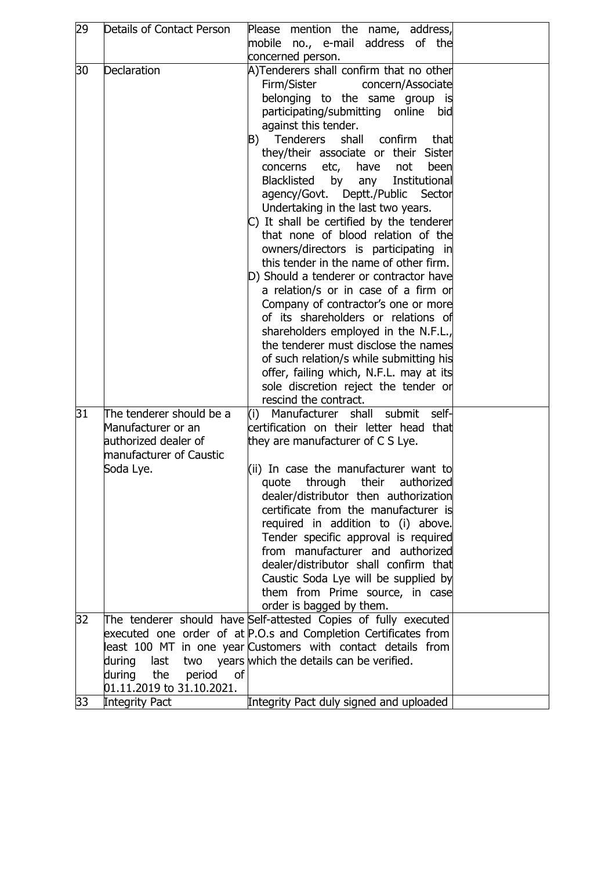| 29 | Details of Contact Person                                                                                      | Please mention the name, address,<br>mobile no., e-mail address of the<br>concerned person.                                                                                                                                                                                                                                                                                                                                                                                                                                                                                                                                                                                                                                                                                                                                                                                                                                                                                                            |  |
|----|----------------------------------------------------------------------------------------------------------------|--------------------------------------------------------------------------------------------------------------------------------------------------------------------------------------------------------------------------------------------------------------------------------------------------------------------------------------------------------------------------------------------------------------------------------------------------------------------------------------------------------------------------------------------------------------------------------------------------------------------------------------------------------------------------------------------------------------------------------------------------------------------------------------------------------------------------------------------------------------------------------------------------------------------------------------------------------------------------------------------------------|--|
| 30 | Declaration                                                                                                    | A)Tenderers shall confirm that no other<br>Firm/Sister<br>concern/Associate<br>belonging to the same group is<br>participating/submitting online bid<br>against this tender.<br>Tenderers<br>shall confirm<br>B)<br>that<br>they/their associate or their Sister<br>concerns etc, have not<br>been<br>Blacklisted by<br>Institutional<br>any<br>agency/Govt. Deptt./Public<br>Sector<br>Undertaking in the last two years.<br>C) It shall be certified by the tenderer<br>that none of blood relation of the<br>owners/directors is participating in<br>this tender in the name of other firm.<br>D) Should a tenderer or contractor have<br>a relation/s or in case of a firm or<br>Company of contractor's one or more<br>of its shareholders or relations of<br>shareholders employed in the N.F.L.,<br>the tenderer must disclose the names<br>of such relation/s while submitting his<br>offer, failing which, N.F.L. may at its<br>sole discretion reject the tender or<br>rescind the contract. |  |
| 31 | The tenderer should be a<br>Manufacturer or an<br>authorized dealer of<br>manufacturer of Caustic<br>Soda Lye. | (i) Manufacturer shall submit<br>self-<br>certification on their letter head that<br>they are manufacturer of C S Lye.<br>(ii) In case the manufacturer want to<br>quote through their authorized<br>dealer/distributor then authorization<br>certificate from the manufacturer is<br>required in addition to (i) above.<br>Tender specific approval is required<br>from manufacturer and authorized<br>dealer/distributor shall confirm that<br>Caustic Soda Lye will be supplied by<br>them from Prime source, in case<br>order is bagged by them.                                                                                                                                                                                                                                                                                                                                                                                                                                                   |  |
| 32 | during<br>last<br>two<br>the<br>period<br>during<br>of<br>01.11.2019 to 31.10.2021.                            | The tenderer should have Self-attested Copies of fully executed<br>executed one order of at P.O.s and Completion Certificates from<br>least 100 MT in one year Customers with contact details from<br>years which the details can be verified.                                                                                                                                                                                                                                                                                                                                                                                                                                                                                                                                                                                                                                                                                                                                                         |  |
| 33 | <b>Integrity Pact</b>                                                                                          | Integrity Pact duly signed and uploaded                                                                                                                                                                                                                                                                                                                                                                                                                                                                                                                                                                                                                                                                                                                                                                                                                                                                                                                                                                |  |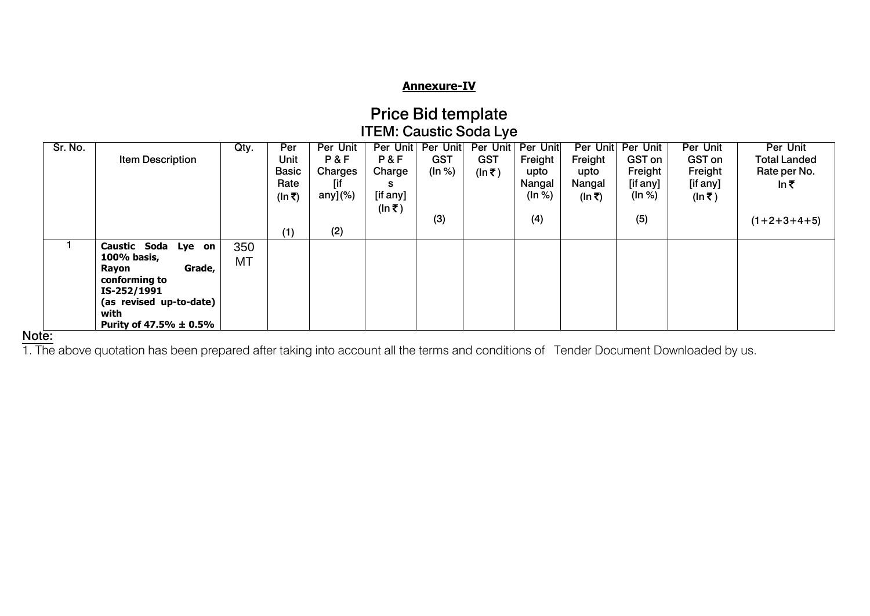## **Annexure-IV**

| <b>Price Bid template</b>     |
|-------------------------------|
| <b>ITEM: Caustic Soda Lye</b> |

| Sr. No. |                            | Qty.      | Per          | Per Unit    | Per Unit | Per Unit   | Per Unit   | <b>Per Unit</b> | Per Unit | Per Unit      | Per Unit      | Per Unit            |
|---------|----------------------------|-----------|--------------|-------------|----------|------------|------------|-----------------|----------|---------------|---------------|---------------------|
|         | <b>Item Description</b>    |           | Unit         | P&F         | P&F      | <b>GST</b> | <b>GST</b> | Freight         | Freight  | <b>GST</b> on | <b>GST</b> on | <b>Total Landed</b> |
|         |                            |           | <b>Basic</b> | Charges     | Charge   | (ln %)     | (ln ₹)     | upto            | upto     | Freight       | Freight       | Rate per No.        |
|         |                            |           | Rate         | [if         | s        |            |            | Nangal          | Nangal   | [if any]      | [if any]      | In₹                 |
|         |                            |           | (In ₹)       | any] $(\%)$ | [if any] |            |            | (ln %)          | (In ₹)   | (ln %)        | (ln ₹)        |                     |
|         |                            |           |              |             | (ln ₹)   |            |            |                 |          |               |               |                     |
|         |                            |           |              |             |          | (3)        |            | (4)             |          | (5)           |               | $(1+2+3+4+5)$       |
|         |                            |           | (1)          | (2)         |          |            |            |                 |          |               |               |                     |
|         | Caustic Soda Lye on        | 350       |              |             |          |            |            |                 |          |               |               |                     |
|         | 100% basis,                | <b>MT</b> |              |             |          |            |            |                 |          |               |               |                     |
|         | Grade,<br>Rayon            |           |              |             |          |            |            |                 |          |               |               |                     |
|         | conforming to              |           |              |             |          |            |            |                 |          |               |               |                     |
|         | IS-252/1991                |           |              |             |          |            |            |                 |          |               |               |                     |
|         | (as revised up-to-date)    |           |              |             |          |            |            |                 |          |               |               |                     |
|         | with                       |           |              |             |          |            |            |                 |          |               |               |                     |
|         | Purity of 47.5% $\pm$ 0.5% |           |              |             |          |            |            |                 |          |               |               |                     |

#### **Note:**

1. The above quotation has been prepared after taking into account all the terms and conditions of Tender Document Downloaded by us.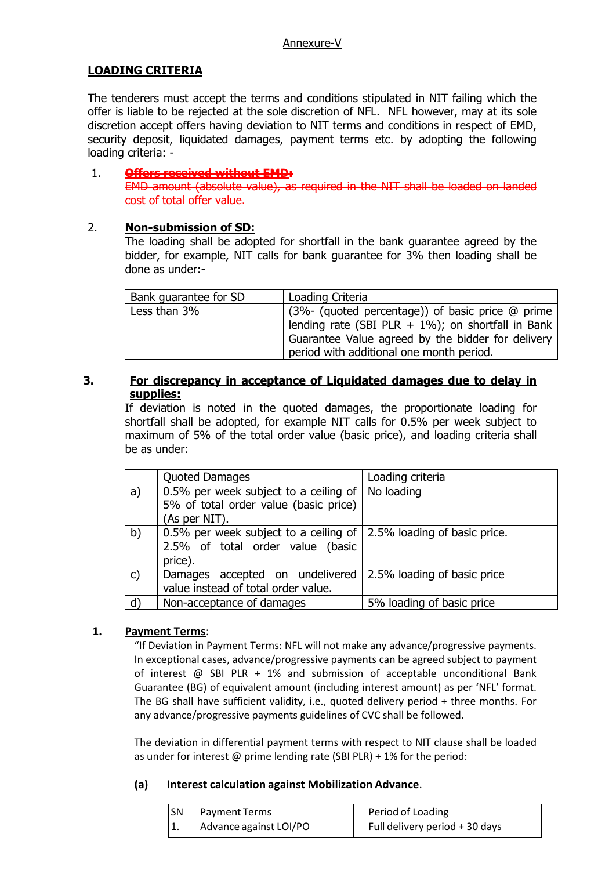## **LOADING CRITERIA**

The tenderers must accept the terms and conditions stipulated in NIT failing which the offer is liable to be rejected at the sole discretion of NFL. NFL however, may at its sole discretion accept offers having deviation to NIT terms and conditions in respect of EMD, security deposit, liquidated damages, payment terms etc. by adopting the following loading criteria: -

#### 1. **Offers received without EMD:**

EMD amount (absolute value), as required in the NIT shall be loaded on landed cost of total offer value.

## 2. **Non-submission of SD:**

The loading shall be adopted for shortfall in the bank guarantee agreed by the bidder, for example, NIT calls for bank guarantee for 3% then loading shall be done as under:-

| Bank quarantee for SD | Loading Criteria                                                                                                                                                                                       |
|-----------------------|--------------------------------------------------------------------------------------------------------------------------------------------------------------------------------------------------------|
| Less than 3%          | (3%- (quoted percentage)) of basic price @ prime<br>lending rate (SBI PLR + 1%); on shortfall in Bank<br>Guarantee Value agreed by the bidder for delivery<br>period with additional one month period. |

## **3. For discrepancy in acceptance of Liquidated damages due to delay in supplies:**

If deviation is noted in the quoted damages, the proportionate loading for shortfall shall be adopted, for example NIT calls for 0.5% per week subject to maximum of 5% of the total order value (basic price), and loading criteria shall be as under:

|              | Quoted Damages                                                       | Loading criteria            |
|--------------|----------------------------------------------------------------------|-----------------------------|
| a)           | 0.5% per week subject to a ceiling of                                | No loading                  |
|              | 5% of total order value (basic price)                                |                             |
|              | (As per NIT).                                                        |                             |
| b)           | 0.5% per week subject to a ceiling of   2.5% loading of basic price. |                             |
|              | 2.5% of total order value (basic                                     |                             |
|              | price).                                                              |                             |
| $\mathsf{c}$ | Damages accepted on undelivered                                      | 2.5% loading of basic price |
|              | value instead of total order value.                                  |                             |
| d)           | Non-acceptance of damages                                            | 5% loading of basic price   |

#### **1. Payment Terms**:

"If Deviation in Payment Terms: NFL will not make any advance/progressive payments. In exceptional cases, advance/progressive payments can be agreed subject to payment of interest @ SBI PLR + 1% and submission of acceptable unconditional Bank Guarantee (BG) of equivalent amount (including interest amount) as per 'NFL' format. The BG shall have sufficient validity, i.e., quoted delivery period + three months. For any advance/progressive payments guidelines of CVC shall be followed.

The deviation in differential payment terms with respect to NIT clause shall be loaded as under for interest  $\omega$  prime lending rate (SBI PLR) + 1% for the period:

#### **(a) Interest calculation against Mobilization Advance**.

| <b>SN</b> | Payment Terms          | Period of Loading              |
|-----------|------------------------|--------------------------------|
| ۱1.       | Advance against LOI/PO | Full delivery period + 30 days |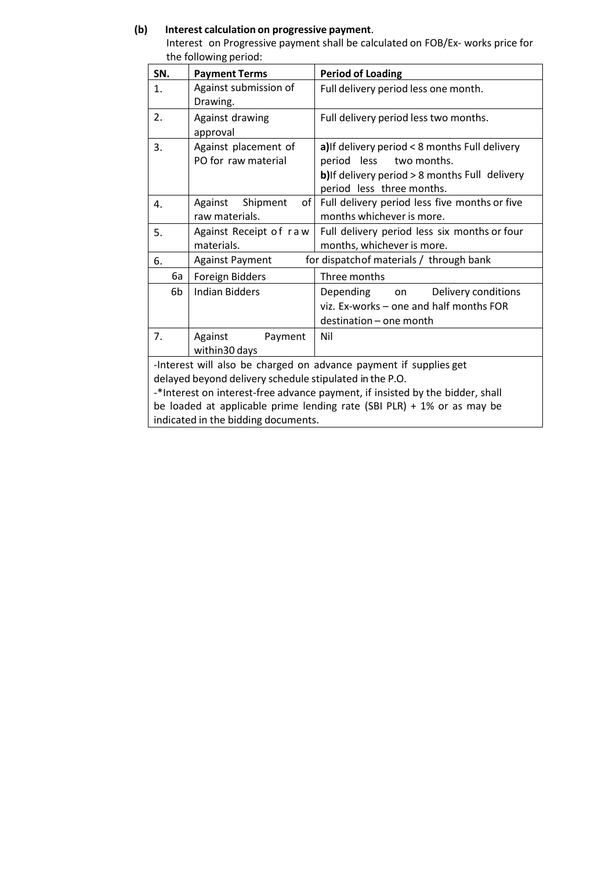#### **(b) Interest calculation on progressive payment**.

Interest on Progressive payment shall be calculated on FOB/Ex- works price for the following period:

| SN.                                                                                                                                                                                                                                                                                     | <b>Payment Terms</b>                          | <b>Period of Loading</b>                                                                                                                                    |  |  |
|-----------------------------------------------------------------------------------------------------------------------------------------------------------------------------------------------------------------------------------------------------------------------------------------|-----------------------------------------------|-------------------------------------------------------------------------------------------------------------------------------------------------------------|--|--|
| 1.                                                                                                                                                                                                                                                                                      | Against submission of<br>Drawing.             | Full delivery period less one month.                                                                                                                        |  |  |
| 2.                                                                                                                                                                                                                                                                                      | Against drawing<br>approval                   | Full delivery period less two months.                                                                                                                       |  |  |
| 3.                                                                                                                                                                                                                                                                                      | Against placement of<br>PO for raw material   | a) If delivery period < 8 months Full delivery<br>period less<br>two months.<br>b) If delivery period > 8 months Full delivery<br>period less three months. |  |  |
| 4.                                                                                                                                                                                                                                                                                      | Shipment<br>Against<br>of l<br>raw materials. | Full delivery period less five months or five<br>months whichever is more.                                                                                  |  |  |
| 5.                                                                                                                                                                                                                                                                                      | Against Receipt of raw<br>materials.          | Full delivery period less six months or four<br>months, whichever is more.                                                                                  |  |  |
| 6.                                                                                                                                                                                                                                                                                      | <b>Against Payment</b>                        | for dispatch of materials / through bank                                                                                                                    |  |  |
| 6а                                                                                                                                                                                                                                                                                      | Foreign Bidders                               | Three months                                                                                                                                                |  |  |
| 6b                                                                                                                                                                                                                                                                                      | <b>Indian Bidders</b>                         | Depending<br>Delivery conditions<br>on<br>viz. Ex-works - one and half months FOR<br>destination - one month                                                |  |  |
| 7.                                                                                                                                                                                                                                                                                      | Against<br>Payment<br>within 30 days          | Nil                                                                                                                                                         |  |  |
| -Interest will also be charged on advance payment if supplies get<br>delayed beyond delivery schedule stipulated in the P.O.<br>-*Interest on interest-free advance payment, if insisted by the bidder, shall<br>he loaded at anniicable prime lending rate (SRI PIR) + 1% or as may be |                                               |                                                                                                                                                             |  |  |

be loaded at applicable prime lending rate (SBI PLR) + 1% or as may be indicated in the bidding documents.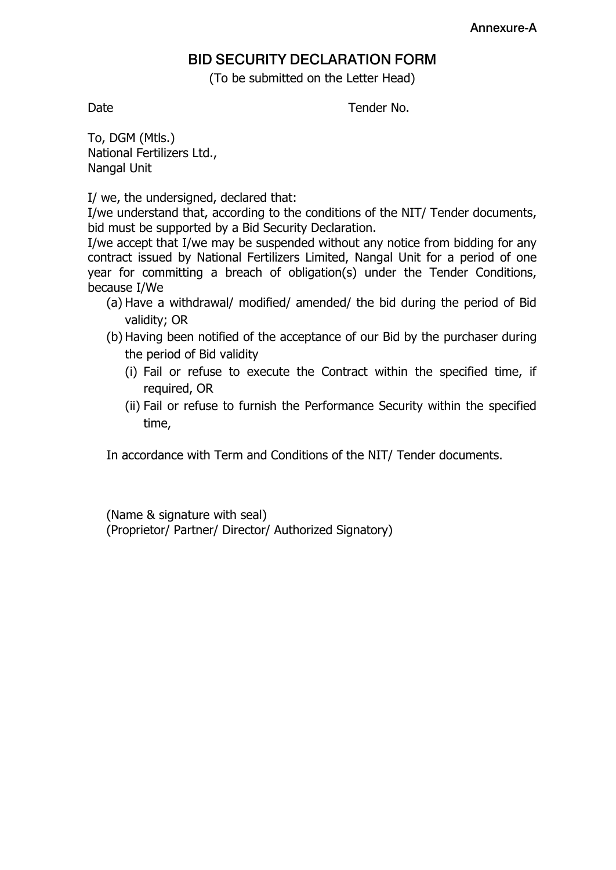# **BID SECURITY DECLARATION FORM**

(To be submitted on the Letter Head)

Date **Date Tender No.** 

To, DGM (Mtls.) National Fertilizers Ltd., Nangal Unit

I/ we, the undersigned, declared that:

I/we understand that, according to the conditions of the NIT/ Tender documents, bid must be supported by a Bid Security Declaration.

I/we accept that I/we may be suspended without any notice from bidding for any contract issued by National Fertilizers Limited, Nangal Unit for a period of one year for committing a breach of obligation(s) under the Tender Conditions, because I/We

- (a) Have a withdrawal/ modified/ amended/ the bid during the period of Bid validity; OR
- (b) Having been notified of the acceptance of our Bid by the purchaser during the period of Bid validity
	- (i) Fail or refuse to execute the Contract within the specified time, if required, OR
	- (ii) Fail or refuse to furnish the Performance Security within the specified time,

In accordance with Term and Conditions of the NIT/ Tender documents.

(Name & signature with seal) (Proprietor/ Partner/ Director/ Authorized Signatory)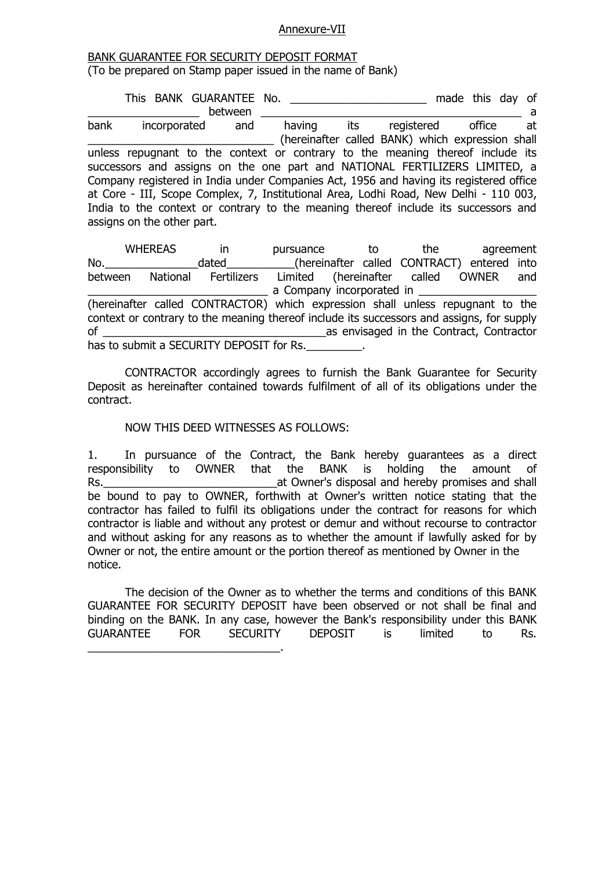#### Annexure-VII

#### BANK GUARANTEE FOR SECURITY DEPOSIT FORMAT (To be prepared on Stamp paper issued in the name of Bank)

This BANK GUARANTEE No. \_\_\_\_\_\_\_\_\_\_\_\_\_\_\_\_\_\_\_\_\_\_\_ made this day of \_\_\_\_\_\_\_\_\_\_\_\_\_\_\_\_\_\_ between \_\_\_\_\_\_\_\_\_\_\_\_\_\_\_\_\_\_\_\_\_\_\_\_\_\_\_\_\_\_\_\_\_\_\_\_\_\_\_\_\_\_ a bank incorporated and having its registered office at \_\_\_\_\_\_\_\_\_\_\_\_\_\_\_\_\_\_\_\_\_\_\_\_\_\_\_\_\_\_ (hereinafter called BANK) which expression shall unless repugnant to the context or contrary to the meaning thereof include its successors and assigns on the one part and NATIONAL FERTILIZERS LIMITED, a Company registered in India under Companies Act, 1956 and having its registered office at Core - III, Scope Complex, 7, Institutional Area, Lodhi Road, New Delhi - 110 003, India to the context or contrary to the meaning thereof include its successors and assigns on the other part.

WHEREAS in pursuance to the agreement No. The dated the element of the called CONTRACT) entered into between National Fertilizers Limited (hereinafter called OWNER and a Company incorporated in (hereinafter called CONTRACTOR) which expression shall unless repugnant to the context or contrary to the meaning thereof include its successors and assigns, for supply of \_\_\_\_\_\_\_\_\_\_\_\_\_\_\_\_\_\_\_\_\_\_\_\_\_\_\_\_\_\_\_\_\_\_\_\_as envisaged in the Contract, Contractor has to submit a SECURITY DEPOSIT for Rs.

CONTRACTOR accordingly agrees to furnish the Bank Guarantee for Security Deposit as hereinafter contained towards fulfilment of all of its obligations under the contract.

#### NOW THIS DEED WITNESSES AS FOLLOWS:

 $\mathcal{L}_\text{max}$  and  $\mathcal{L}_\text{max}$  and  $\mathcal{L}_\text{max}$  and  $\mathcal{L}_\text{max}$ 

1. In pursuance of the Contract, the Bank hereby guarantees as a direct responsibility to OWNER that the BANK is holding the amount of Rs. The contract of the contract of the contract of the contract and hereby promises and shall be bound to pay to OWNER, forthwith at Owner's written notice stating that the contractor has failed to fulfil its obligations under the contract for reasons for which contractor is liable and without any protest or demur and without recourse to contractor and without asking for any reasons as to whether the amount if lawfully asked for by Owner or not, the entire amount or the portion thereof as mentioned by Owner in the notice.

The decision of the Owner as to whether the terms and conditions of this BANK GUARANTEE FOR SECURITY DEPOSIT have been observed or not shall be final and binding on the BANK. In any case, however the Bank's responsibility under this BANK GUARANTEE FOR SECURITY DEPOSIT is limited to Rs.